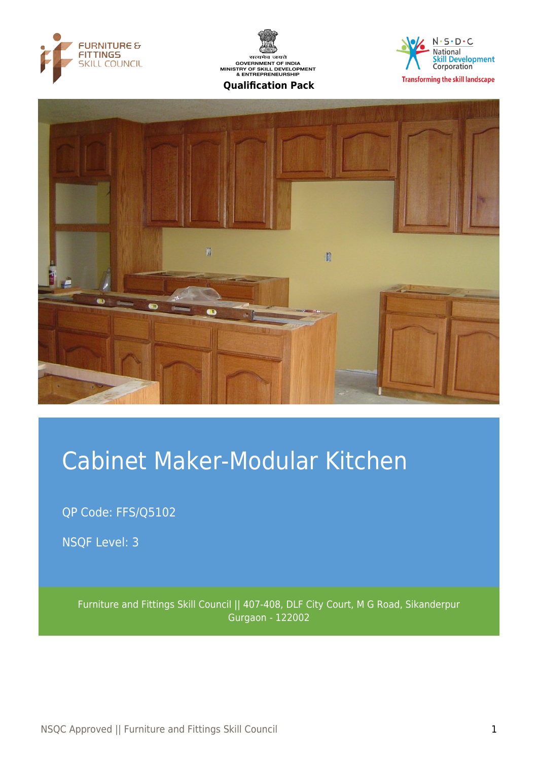







# Cabinet Maker-Modular Kitchen

QP Code: FFS/Q5102

NSQF Level: 3

Furniture and Fittings Skill Council || 407-408, DLF City Court, M G Road, Sikanderpur Gurgaon - 122002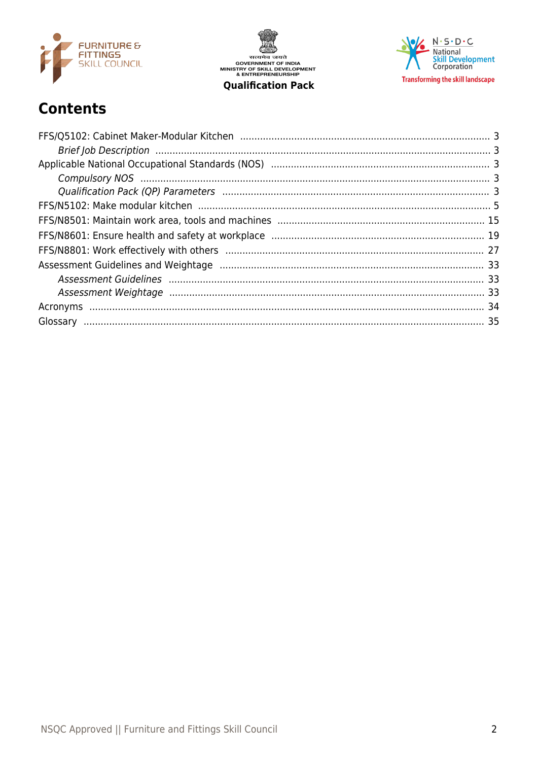

सत्यमेव जयते<br>GOVERNMENT OF INDIA<br>MINISTRY OF SKILL DEVELOPMENT<br>& ENTREPRENEURSHIP **Qualification Pack** 

 $N \cdot S \cdot D \cdot C$ National<br>Skill Development<br>Corporation **Transforming the skill landscape** 

## **Contents**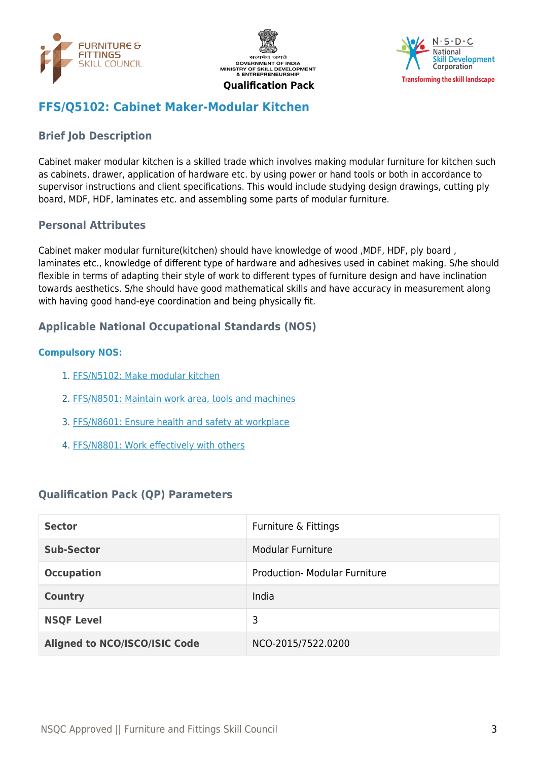





## <span id="page-2-0"></span>**FFS/Q5102: Cabinet Maker-Modular Kitchen**

## <span id="page-2-1"></span>**Brief Job Description**

Cabinet maker modular kitchen is a skilled trade which involves making modular furniture for kitchen such as cabinets, drawer, application of hardware etc. by using power or hand tools or both in accordance to supervisor instructions and client specifications. This would include studying design drawings, cutting ply board, MDF, HDF, laminates etc. and assembling some parts of modular furniture.

#### **Personal Attributes**

Cabinet maker modular furniture(kitchen) should have knowledge of wood ,MDF, HDF, ply board , laminates etc., knowledge of different type of hardware and adhesives used in cabinet making. S/he should flexible in terms of adapting their style of work to different types of furniture design and have inclination towards aesthetics. S/he should have good mathematical skills and have accuracy in measurement along with having good hand-eye coordination and being physically fit.

#### <span id="page-2-2"></span>**Applicable National Occupational Standards (NOS)**

#### <span id="page-2-3"></span>**Compulsory NOS:**

- 1. [FFS/N5102: Make modular kitchen](#page-4-0)
- 2. [FFS/N8501: Maintain work area, tools and machines](#page-14-0)
- 3. [FFS/N8601: Ensure health and safety at workplace](#page-18-0)
- 4. [FFS/N8801: Work effectively with others](#page-26-0)

#### <span id="page-2-4"></span>**Qualification Pack (QP) Parameters**

| <b>Sector</b>                        | Furniture & Fittings                 |
|--------------------------------------|--------------------------------------|
| <b>Sub-Sector</b>                    | <b>Modular Furniture</b>             |
| <b>Occupation</b>                    | <b>Production- Modular Furniture</b> |
| <b>Country</b>                       | India                                |
| <b>NSQF Level</b>                    | 3                                    |
| <b>Aligned to NCO/ISCO/ISIC Code</b> | NCO-2015/7522.0200                   |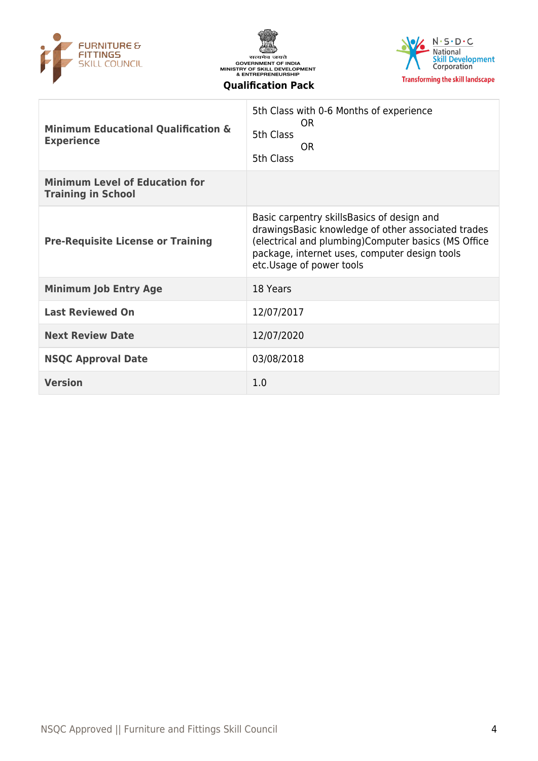





| <b>Minimum Educational Qualification &amp;</b><br><b>Experience</b> | 5th Class with 0-6 Months of experience<br>0R<br>5th Class<br><b>OR</b><br>5th Class                                                                                                                                                     |
|---------------------------------------------------------------------|------------------------------------------------------------------------------------------------------------------------------------------------------------------------------------------------------------------------------------------|
| <b>Minimum Level of Education for</b><br><b>Training in School</b>  |                                                                                                                                                                                                                                          |
| <b>Pre-Requisite License or Training</b>                            | Basic carpentry skills Basics of design and<br>drawings Basic knowledge of other associated trades<br>(electrical and plumbing) Computer basics (MS Office<br>package, internet uses, computer design tools<br>etc. Usage of power tools |
| <b>Minimum Job Entry Age</b>                                        | 18 Years                                                                                                                                                                                                                                 |
| <b>Last Reviewed On</b>                                             | 12/07/2017                                                                                                                                                                                                                               |
| <b>Next Review Date</b>                                             | 12/07/2020                                                                                                                                                                                                                               |
| <b>NSQC Approval Date</b>                                           | 03/08/2018                                                                                                                                                                                                                               |
| <b>Version</b>                                                      | 1.0                                                                                                                                                                                                                                      |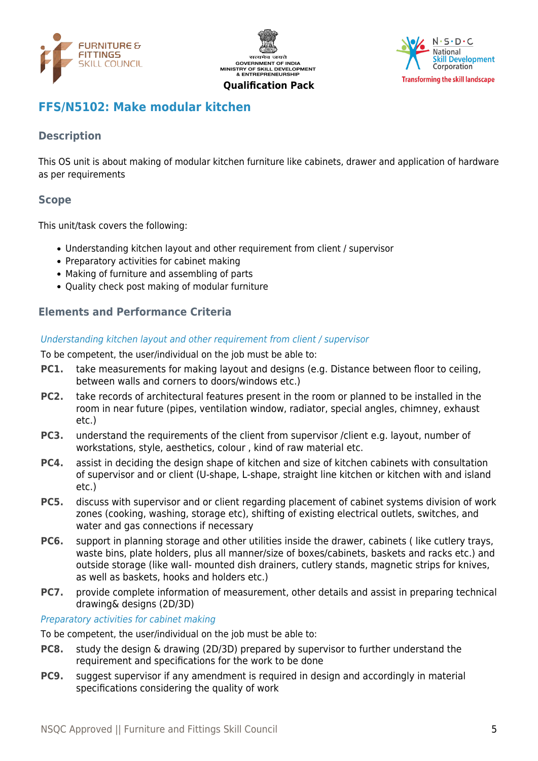





## <span id="page-4-0"></span>**FFS/N5102: Make modular kitchen**

## **Description**

This OS unit is about making of modular kitchen furniture like cabinets, drawer and application of hardware as per requirements

## **Scope**

This unit/task covers the following:

- Understanding kitchen layout and other requirement from client / supervisor
- Preparatory activities for cabinet making
- Making of furniture and assembling of parts
- Quality check post making of modular furniture

## **Elements and Performance Criteria**

#### Understanding kitchen layout and other requirement from client / supervisor

To be competent, the user/individual on the job must be able to:

- **PC1.** take measurements for making layout and designs (e.g. Distance between floor to ceiling, between walls and corners to doors/windows etc.)
- **PC2.** take records of architectural features present in the room or planned to be installed in the room in near future (pipes, ventilation window, radiator, special angles, chimney, exhaust etc.)
- **PC3.** understand the requirements of the client from supervisor /client e.g. layout, number of workstations, style, aesthetics, colour , kind of raw material etc.
- **PC4.** assist in deciding the design shape of kitchen and size of kitchen cabinets with consultation of supervisor and or client (U-shape, L-shape, straight line kitchen or kitchen with and island etc.)
- **PC5.** discuss with supervisor and or client regarding placement of cabinet systems division of work zones (cooking, washing, storage etc), shifting of existing electrical outlets, switches, and water and gas connections if necessary
- **PC6.** support in planning storage and other utilities inside the drawer, cabinets (like cutlery trays, waste bins, plate holders, plus all manner/size of boxes/cabinets, baskets and racks etc.) and outside storage (like wall- mounted dish drainers, cutlery stands, magnetic strips for knives, as well as baskets, hooks and holders etc.)
- **PC7.** provide complete information of measurement, other details and assist in preparing technical drawing& designs (2D/3D)

#### Preparatory activities for cabinet making

To be competent, the user/individual on the job must be able to:

- **PC8.** study the design & drawing (2D/3D) prepared by supervisor to further understand the requirement and specifications for the work to be done
- **PC9.** suggest supervisor if any amendment is required in design and accordingly in material specifications considering the quality of work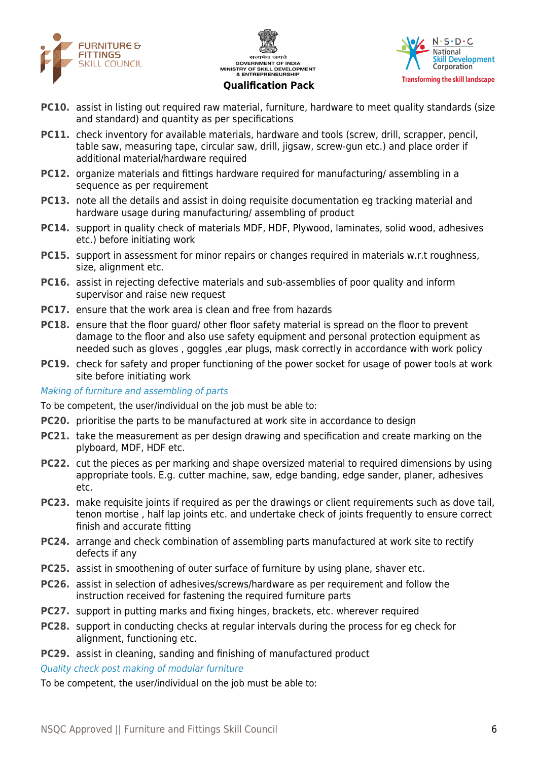





- **PC10.** assist in listing out required raw material, furniture, hardware to meet quality standards (size and standard) and quantity as per specifications
- **PC11.** check inventory for available materials, hardware and tools (screw, drill, scrapper, pencil, table saw, measuring tape, circular saw, drill, jigsaw, screw-gun etc.) and place order if additional material/hardware required
- **PC12.** organize materials and fittings hardware required for manufacturing/ assembling in a sequence as per requirement
- **PC13.** note all the details and assist in doing requisite documentation eg tracking material and hardware usage during manufacturing/ assembling of product
- **PC14.** support in quality check of materials MDF, HDF, Plywood, laminates, solid wood, adhesives etc.) before initiating work
- **PC15.** support in assessment for minor repairs or changes required in materials w.r.t roughness, size, alignment etc.
- **PC16.** assist in rejecting defective materials and sub-assemblies of poor quality and inform supervisor and raise new request
- **PC17.** ensure that the work area is clean and free from hazards
- **PC18.** ensure that the floor guard/ other floor safety material is spread on the floor to prevent damage to the floor and also use safety equipment and personal protection equipment as needed such as gloves , goggles ,ear plugs, mask correctly in accordance with work policy
- **PC19.** check for safety and proper functioning of the power socket for usage of power tools at work site before initiating work

Making of furniture and assembling of parts

To be competent, the user/individual on the job must be able to:

- **PC20.** prioritise the parts to be manufactured at work site in accordance to design
- **PC21.** take the measurement as per design drawing and specification and create marking on the plyboard, MDF, HDF etc.
- **PC22.** cut the pieces as per marking and shape oversized material to required dimensions by using appropriate tools. E.g. cutter machine, saw, edge banding, edge sander, planer, adhesives etc.
- **PC23.** make requisite joints if required as per the drawings or client requirements such as dove tail, tenon mortise , half lap joints etc. and undertake check of joints frequently to ensure correct finish and accurate fitting
- **PC24.** arrange and check combination of assembling parts manufactured at work site to rectify defects if any
- **PC25.** assist in smoothening of outer surface of furniture by using plane, shaver etc.
- **PC26.** assist in selection of adhesives/screws/hardware as per requirement and follow the instruction received for fastening the required furniture parts
- **PC27.** support in putting marks and fixing hinges, brackets, etc. wherever required
- **PC28.** support in conducting checks at regular intervals during the process for eg check for alignment, functioning etc.
- **PC29.** assist in cleaning, sanding and finishing of manufactured product

Quality check post making of modular furniture

To be competent, the user/individual on the job must be able to: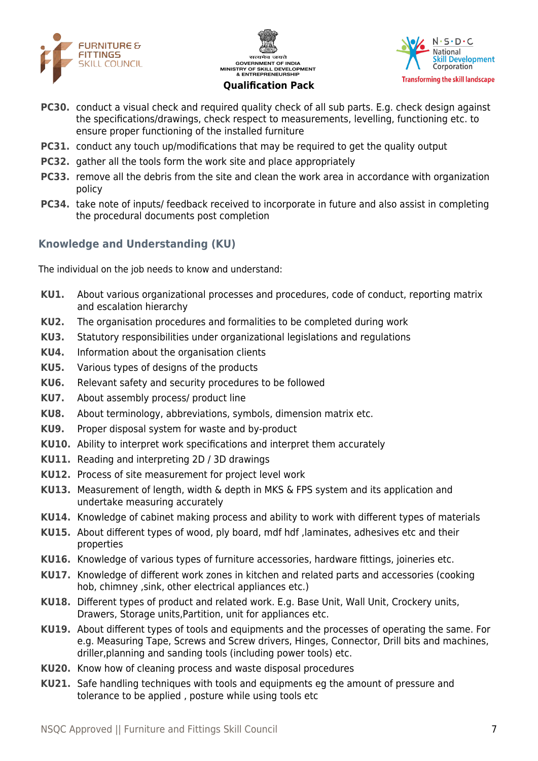





- **PC30.** conduct a visual check and required quality check of all sub parts. E.g. check design against the specifications/drawings, check respect to measurements, levelling, functioning etc. to ensure proper functioning of the installed furniture
- **PC31.** conduct any touch up/modifications that may be required to get the quality output
- **PC32.** gather all the tools form the work site and place appropriately
- **PC33.** remove all the debris from the site and clean the work area in accordance with organization policy
- **PC34.** take note of inputs/ feedback received to incorporate in future and also assist in completing the procedural documents post completion

## **Knowledge and Understanding (KU)**

The individual on the job needs to know and understand:

- **KU1.** About various organizational processes and procedures, code of conduct, reporting matrix and escalation hierarchy
- **KU2.** The organisation procedures and formalities to be completed during work
- **KU3.** Statutory responsibilities under organizational legislations and regulations
- **KU4.** Information about the organisation clients
- **KU5.** Various types of designs of the products
- **KU6.** Relevant safety and security procedures to be followed
- **KU7.** About assembly process/ product line
- **KU8.** About terminology, abbreviations, symbols, dimension matrix etc.
- **KU9.** Proper disposal system for waste and by-product
- **KU10.** Ability to interpret work specifications and interpret them accurately
- **KU11.** Reading and interpreting 2D / 3D drawings
- **KU12.** Process of site measurement for project level work
- **KU13.** Measurement of length, width & depth in MKS & FPS system and its application and undertake measuring accurately
- **KU14.** Knowledge of cabinet making process and ability to work with different types of materials
- **KU15.** About different types of wood, ply board, mdf hdf ,laminates, adhesives etc and their properties
- **KU16.** Knowledge of various types of furniture accessories, hardware fittings, joineries etc.
- **KU17.** Knowledge of different work zones in kitchen and related parts and accessories (cooking hob, chimney ,sink, other electrical appliances etc.)
- **KU18.** Different types of product and related work. E.g. Base Unit, Wall Unit, Crockery units, Drawers, Storage units,Partition, unit for appliances etc.
- **KU19.** About different types of tools and equipments and the processes of operating the same. For e.g. Measuring Tape, Screws and Screw drivers, Hinges, Connector, Drill bits and machines, driller,planning and sanding tools (including power tools) etc.
- **KU20.** Know how of cleaning process and waste disposal procedures
- **KU21.** Safe handling techniques with tools and equipments eg the amount of pressure and tolerance to be applied , posture while using tools etc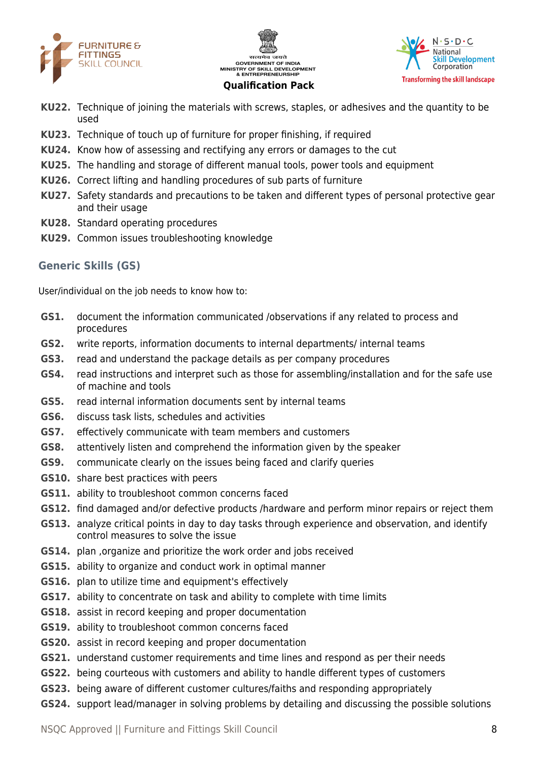





- **KU22.** Technique of joining the materials with screws, staples, or adhesives and the quantity to be used
- **KU23.** Technique of touch up of furniture for proper finishing, if required
- **KU24.** Know how of assessing and rectifying any errors or damages to the cut
- **KU25.** The handling and storage of different manual tools, power tools and equipment
- **KU26.** Correct lifting and handling procedures of sub parts of furniture
- **KU27.** Safety standards and precautions to be taken and different types of personal protective gear and their usage
- **KU28.** Standard operating procedures
- **KU29.** Common issues troubleshooting knowledge

#### **Generic Skills (GS)**

User/individual on the job needs to know how to:

- **GS1.** document the information communicated /observations if any related to process and procedures
- **GS2.** write reports, information documents to internal departments/ internal teams
- **GS3.** read and understand the package details as per company procedures
- **GS4.** read instructions and interpret such as those for assembling/installation and for the safe use of machine and tools
- **GS5.** read internal information documents sent by internal teams
- **GS6.** discuss task lists, schedules and activities
- **GS7.** effectively communicate with team members and customers
- **GS8.** attentively listen and comprehend the information given by the speaker
- **GS9.** communicate clearly on the issues being faced and clarify queries
- **GS10.** share best practices with peers
- **GS11.** ability to troubleshoot common concerns faced
- **GS12.** find damaged and/or defective products /hardware and perform minor repairs or reject them
- **GS13.** analyze critical points in day to day tasks through experience and observation, and identify control measures to solve the issue
- **GS14.** plan ,organize and prioritize the work order and jobs received
- **GS15.** ability to organize and conduct work in optimal manner
- **GS16.** plan to utilize time and equipment's effectively
- **GS17.** ability to concentrate on task and ability to complete with time limits
- **GS18.** assist in record keeping and proper documentation
- **GS19.** ability to troubleshoot common concerns faced
- **GS20.** assist in record keeping and proper documentation
- **GS21.** understand customer requirements and time lines and respond as per their needs
- **GS22.** being courteous with customers and ability to handle different types of customers
- **GS23.** being aware of different customer cultures/faiths and responding appropriately
- **GS24.** support lead/manager in solving problems by detailing and discussing the possible solutions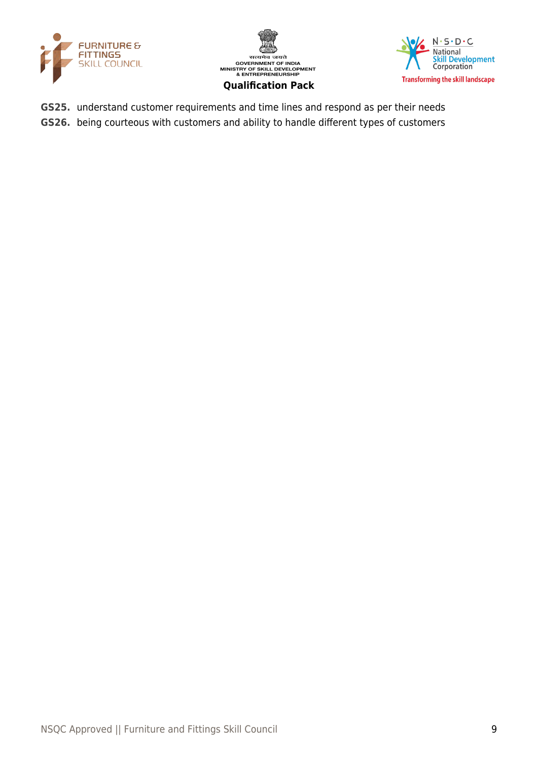





- **GS25.** understand customer requirements and time lines and respond as per their needs
- **GS26.** being courteous with customers and ability to handle different types of customers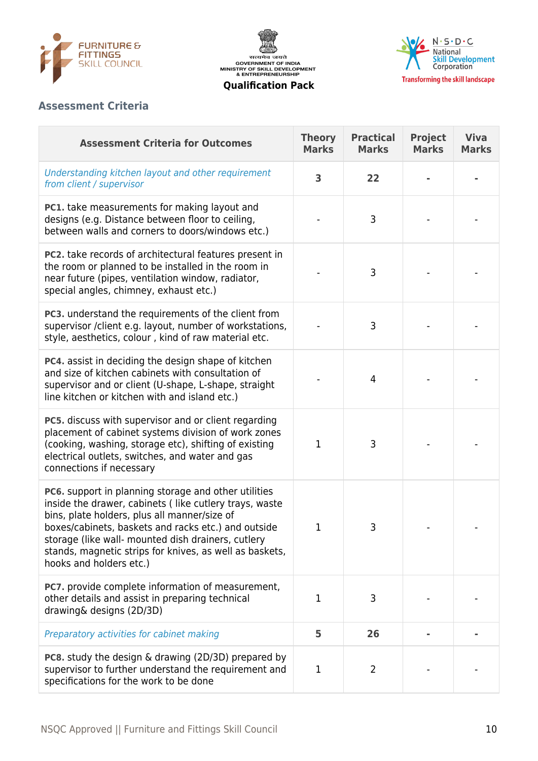





## **Assessment Criteria**

| <b>Assessment Criteria for Outcomes</b>                                                                                                                                                                                                                                                                                                                           | <b>Theory</b><br><b>Marks</b> | <b>Practical</b><br><b>Marks</b> | <b>Project</b><br><b>Marks</b> | <b>Viva</b><br><b>Marks</b> |
|-------------------------------------------------------------------------------------------------------------------------------------------------------------------------------------------------------------------------------------------------------------------------------------------------------------------------------------------------------------------|-------------------------------|----------------------------------|--------------------------------|-----------------------------|
| Understanding kitchen layout and other requirement<br>from client / supervisor                                                                                                                                                                                                                                                                                    | $\overline{\mathbf{3}}$       | 22                               |                                |                             |
| PC1. take measurements for making layout and<br>designs (e.g. Distance between floor to ceiling,<br>between walls and corners to doors/windows etc.)                                                                                                                                                                                                              |                               | 3                                |                                |                             |
| PC2. take records of architectural features present in<br>the room or planned to be installed in the room in<br>near future (pipes, ventilation window, radiator,<br>special angles, chimney, exhaust etc.)                                                                                                                                                       |                               | 3                                |                                |                             |
| PC3. understand the requirements of the client from<br>supervisor /client e.g. layout, number of workstations,<br>style, aesthetics, colour, kind of raw material etc.                                                                                                                                                                                            |                               | 3                                |                                |                             |
| <b>PC4.</b> assist in deciding the design shape of kitchen<br>and size of kitchen cabinets with consultation of<br>supervisor and or client (U-shape, L-shape, straight<br>line kitchen or kitchen with and island etc.)                                                                                                                                          |                               | 4                                |                                |                             |
| PC5. discuss with supervisor and or client regarding<br>placement of cabinet systems division of work zones<br>(cooking, washing, storage etc), shifting of existing<br>electrical outlets, switches, and water and gas<br>connections if necessary                                                                                                               | 1                             | 3                                |                                |                             |
| PC6. support in planning storage and other utilities<br>inside the drawer, cabinets (like cutlery trays, waste<br>bins, plate holders, plus all manner/size of<br>boxes/cabinets, baskets and racks etc.) and outside<br>storage (like wall- mounted dish drainers, cutlery<br>stands, magnetic strips for knives, as well as baskets,<br>hooks and holders etc.) | 1                             | 3                                |                                |                             |
| PC7. provide complete information of measurement,<br>other details and assist in preparing technical<br>drawing& designs (2D/3D)                                                                                                                                                                                                                                  | $\mathbf{1}$                  | 3                                |                                |                             |
| Preparatory activities for cabinet making                                                                                                                                                                                                                                                                                                                         | 5                             | 26                               |                                |                             |
| <b>PC8.</b> study the design & drawing (2D/3D) prepared by<br>supervisor to further understand the requirement and<br>specifications for the work to be done                                                                                                                                                                                                      | 1                             | 2                                |                                |                             |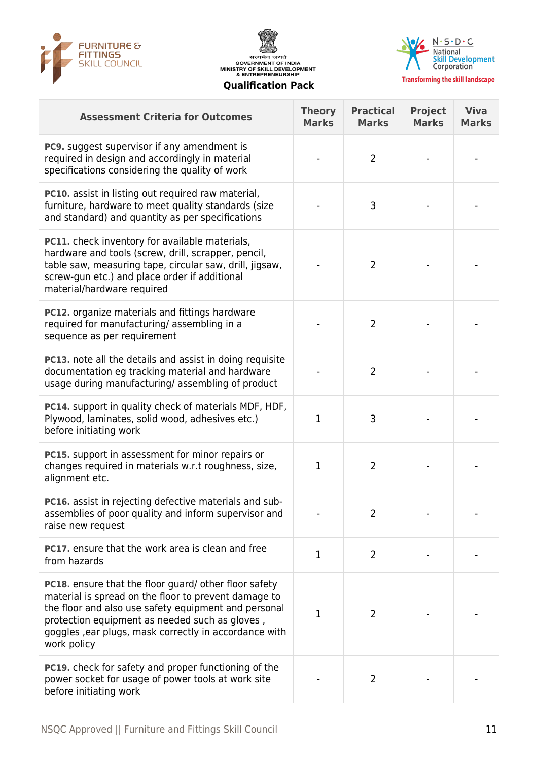





| <b>Assessment Criteria for Outcomes</b>                                                                                                                                                                                                                                                         | <b>Theory</b><br><b>Marks</b> | <b>Practical</b><br><b>Marks</b> | <b>Project</b><br><b>Marks</b> | <b>Viva</b><br><b>Marks</b> |
|-------------------------------------------------------------------------------------------------------------------------------------------------------------------------------------------------------------------------------------------------------------------------------------------------|-------------------------------|----------------------------------|--------------------------------|-----------------------------|
| PC9. suggest supervisor if any amendment is<br>required in design and accordingly in material<br>specifications considering the quality of work                                                                                                                                                 |                               | $\overline{2}$                   |                                |                             |
| <b>PC10.</b> assist in listing out required raw material,<br>furniture, hardware to meet quality standards (size<br>and standard) and quantity as per specifications                                                                                                                            |                               | 3                                |                                |                             |
| PC11. check inventory for available materials,<br>hardware and tools (screw, drill, scrapper, pencil,<br>table saw, measuring tape, circular saw, drill, jigsaw,<br>screw-gun etc.) and place order if additional<br>material/hardware required                                                 |                               | $\overline{2}$                   |                                |                             |
| PC12. organize materials and fittings hardware<br>required for manufacturing/assembling in a<br>sequence as per requirement                                                                                                                                                                     |                               | $\overline{2}$                   |                                |                             |
| PC13. note all the details and assist in doing requisite<br>documentation eg tracking material and hardware<br>usage during manufacturing/assembling of product                                                                                                                                 |                               | 2                                |                                |                             |
| PC14. support in quality check of materials MDF, HDF,<br>Plywood, laminates, solid wood, adhesives etc.)<br>before initiating work                                                                                                                                                              | 1                             | 3                                |                                |                             |
| PC15. support in assessment for minor repairs or<br>changes required in materials w.r.t roughness, size,<br>alignment etc.                                                                                                                                                                      | $\mathbf{1}$                  | $\overline{2}$                   |                                |                             |
| PC16. assist in rejecting defective materials and sub-<br>assemblies of poor quality and inform supervisor and<br>raise new request                                                                                                                                                             |                               | 2                                |                                |                             |
| PC17. ensure that the work area is clean and free<br>from hazards                                                                                                                                                                                                                               | 1                             | $\overline{2}$                   |                                |                             |
| PC18. ensure that the floor guard/ other floor safety<br>material is spread on the floor to prevent damage to<br>the floor and also use safety equipment and personal<br>protection equipment as needed such as gloves,<br>goggles, ear plugs, mask correctly in accordance with<br>work policy | 1                             | 2                                |                                |                             |
| <b>PC19.</b> check for safety and proper functioning of the<br>power socket for usage of power tools at work site<br>before initiating work                                                                                                                                                     |                               | $\overline{2}$                   |                                |                             |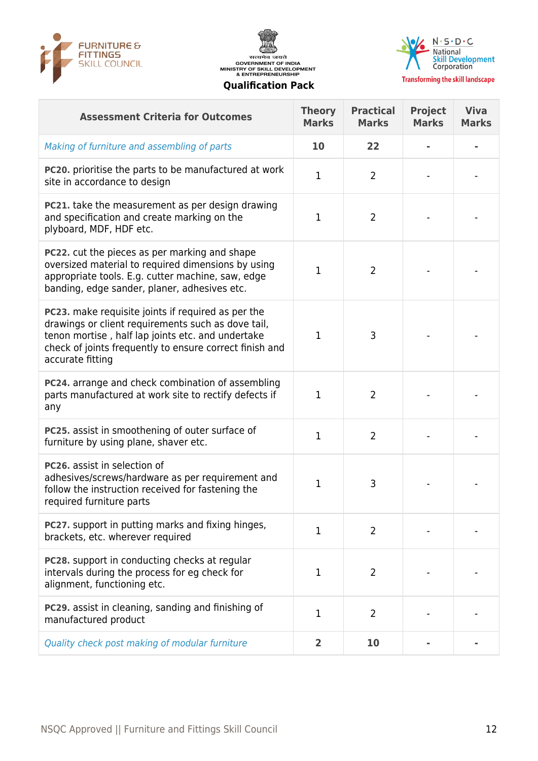





**Transforming the skill landscape** 

#### **Assessment Criteria for Outcomes Theory Marks Practical Marks Project Marks Viva Marks** Making of furniture and assembling of parts **10 22 - - PC20.** prioritise the parts to be manufactured at work PC20. prioritise the parts to be manufactured at work and the cord of the state of  $1$  and  $2$ **PC21.** take the measurement as per design drawing and specification and create marking on the plyboard, MDF, HDF etc.  $1 \quad 2 \quad \cdots$ **PC22.** cut the pieces as per marking and shape oversized material to required dimensions by using appropriate tools. E.g. cutter machine, saw, edge banding, edge sander, planer, adhesives etc.  $1 \quad 2 \quad - \quad -$ **PC23.** make requisite joints if required as per the drawings or client requirements such as dove tail, tenon mortise , half lap joints etc. and undertake check of joints frequently to ensure correct finish and accurate fitting  $\begin{array}{|c|c|c|c|c|c|}\n\hline\n1 & 3 & - & - & - \ \hline\n\end{array}$ **PC24.** arrange and check combination of assembling parts manufactured at work site to rectify defects if any  $1 \quad 2 \quad . \quad .$ **PC25.** assist in smoothening of outer surface of **PC25.** assist in smoothering or outer surface or  $\begin{vmatrix} 1 \\ 2 \end{vmatrix}$  2 **PC26.** assist in selection of adhesives/screws/hardware as per requirement and follow the instruction received for fastening the required furniture parts  $1 \quad | \quad 3 \quad | \quad - | \quad -$ **PC27.** support in putting marks and fixing hinges, brackets, etc. wherever required <sup>1</sup> <sup>2</sup> - - **PC28.** support in conducting checks at regular intervals during the process for eg check for alignment, functioning etc.  $1 \quad 2 \quad \cdots$ **PC29.** assist in cleaning, sanding and finishing of PC29. assist in clearing, sanding and mishing of  $1$   $1$   $2$ Quality check post making of modular furniture **2 10 - -**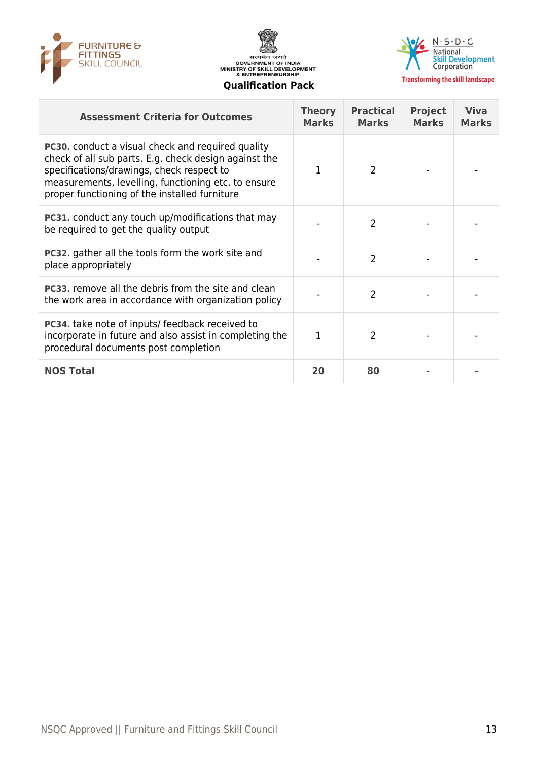





**Transforming the skill landscape** 

| <b>Assessment Criteria for Outcomes</b>                                                                                                                                                                                                                                | <b>Theory</b><br><b>Marks</b> | <b>Practical</b><br><b>Marks</b> | <b>Project</b><br><b>Marks</b> | <b>Viva</b><br><b>Marks</b> |
|------------------------------------------------------------------------------------------------------------------------------------------------------------------------------------------------------------------------------------------------------------------------|-------------------------------|----------------------------------|--------------------------------|-----------------------------|
| <b>PC30.</b> conduct a visual check and required quality<br>check of all sub parts. E.g. check design against the<br>specifications/drawings, check respect to<br>measurements, levelling, functioning etc. to ensure<br>proper functioning of the installed furniture | 1                             | $\mathcal{L}$                    |                                |                             |
| <b>PC31.</b> conduct any touch up/modifications that may<br>be required to get the quality output                                                                                                                                                                      |                               | 2                                |                                |                             |
| <b>PC32.</b> gather all the tools form the work site and<br>place appropriately                                                                                                                                                                                        |                               | 2                                |                                |                             |
| <b>PC33.</b> remove all the debris from the site and clean<br>the work area in accordance with organization policy                                                                                                                                                     |                               | $\overline{2}$                   |                                |                             |
| <b>PC34.</b> take note of inputs/ feedback received to<br>incorporate in future and also assist in completing the<br>procedural documents post completion                                                                                                              | 1                             | 2                                |                                |                             |
| <b>NOS Total</b>                                                                                                                                                                                                                                                       | 20                            | 80                               |                                |                             |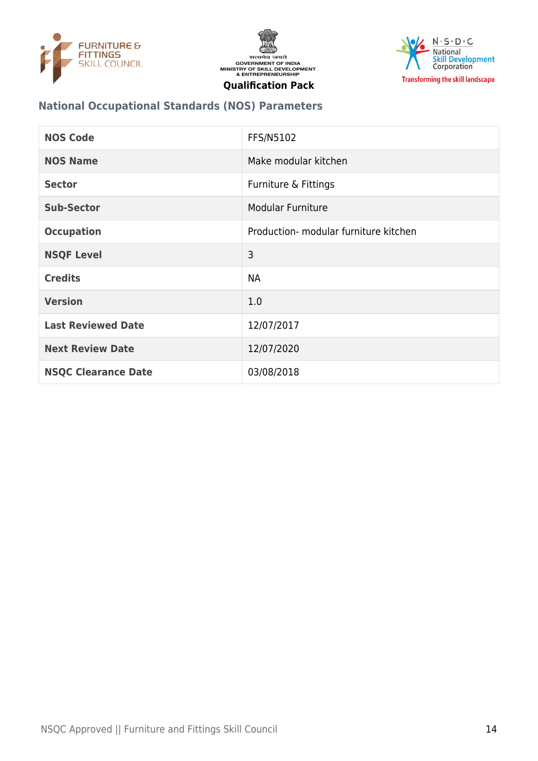





## **National Occupational Standards (NOS) Parameters**

| <b>NOS Code</b>            | <b>FFS/N5102</b>                      |
|----------------------------|---------------------------------------|
| <b>NOS Name</b>            | Make modular kitchen                  |
| <b>Sector</b>              | Furniture & Fittings                  |
| <b>Sub-Sector</b>          | <b>Modular Furniture</b>              |
| <b>Occupation</b>          | Production- modular furniture kitchen |
| <b>NSQF Level</b>          | 3                                     |
| <b>Credits</b>             | <b>NA</b>                             |
| <b>Version</b>             | 1.0                                   |
| <b>Last Reviewed Date</b>  | 12/07/2017                            |
| <b>Next Review Date</b>    | 12/07/2020                            |
| <b>NSQC Clearance Date</b> | 03/08/2018                            |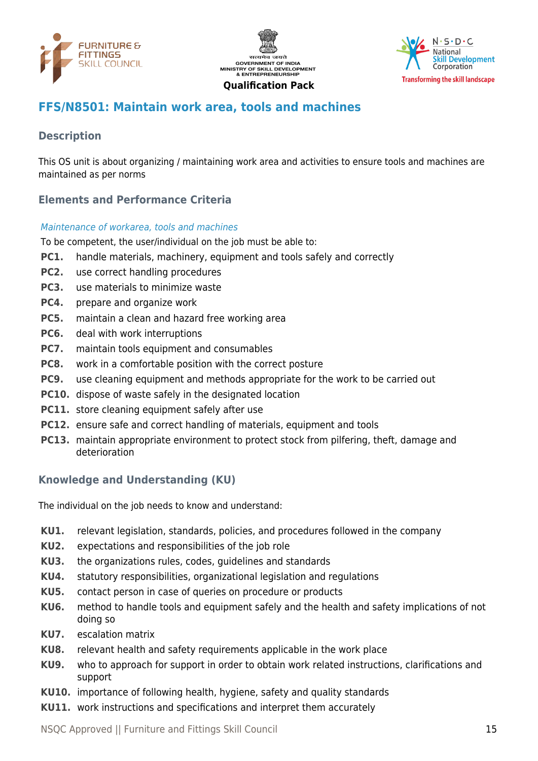





## <span id="page-14-0"></span>**FFS/N8501: Maintain work area, tools and machines**

## **Description**

This OS unit is about organizing / maintaining work area and activities to ensure tools and machines are maintained as per norms

## **Elements and Performance Criteria**

#### Maintenance of workarea, tools and machines

To be competent, the user/individual on the job must be able to:

- **PC1.** handle materials, machinery, equipment and tools safely and correctly
- **PC2.** use correct handling procedures
- **PC3.** use materials to minimize waste
- **PC4.** prepare and organize work
- **PC5.** maintain a clean and hazard free working area
- **PC6.** deal with work interruptions
- **PC7.** maintain tools equipment and consumables
- **PC8.** work in a comfortable position with the correct posture
- **PC9.** use cleaning equipment and methods appropriate for the work to be carried out
- **PC10.** dispose of waste safely in the designated location
- **PC11.** store cleaning equipment safely after use
- **PC12.** ensure safe and correct handling of materials, equipment and tools
- **PC13.** maintain appropriate environment to protect stock from pilfering, theft, damage and deterioration

## **Knowledge and Understanding (KU)**

The individual on the job needs to know and understand:

- **KU1.** relevant legislation, standards, policies, and procedures followed in the company
- **KU2.** expectations and responsibilities of the job role
- **KU3.** the organizations rules, codes, guidelines and standards
- **KU4.** statutory responsibilities, organizational legislation and regulations
- **KU5.** contact person in case of queries on procedure or products
- **KU6.** method to handle tools and equipment safely and the health and safety implications of not doing so
- **KU7.** escalation matrix
- **KU8.** relevant health and safety requirements applicable in the work place
- **KU9.** who to approach for support in order to obtain work related instructions, clarifications and support
- **KU10.** importance of following health, hygiene, safety and quality standards
- **KU11.** work instructions and specifications and interpret them accurately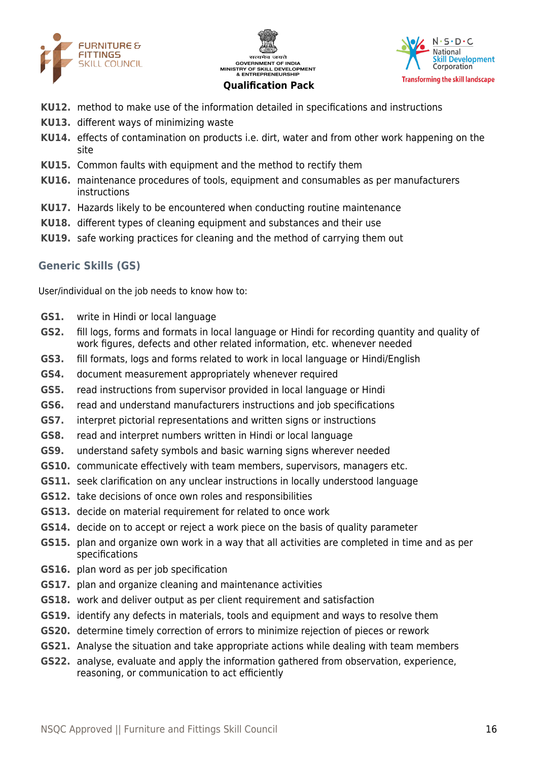





- **KU12.** method to make use of the information detailed in specifications and instructions
- **KU13.** different ways of minimizing waste
- **KU14.** effects of contamination on products i.e. dirt, water and from other work happening on the site
- **KU15.** Common faults with equipment and the method to rectify them
- **KU16.** maintenance procedures of tools, equipment and consumables as per manufacturers instructions
- **KU17.** Hazards likely to be encountered when conducting routine maintenance
- **KU18.** different types of cleaning equipment and substances and their use
- **KU19.** safe working practices for cleaning and the method of carrying them out

#### **Generic Skills (GS)**

User/individual on the job needs to know how to:

- **GS1.** write in Hindi or local language
- **GS2.** fill logs, forms and formats in local language or Hindi for recording quantity and quality of work figures, defects and other related information, etc. whenever needed
- **GS3.** fill formats, logs and forms related to work in local language or Hindi/English
- **GS4.** document measurement appropriately whenever required
- **GS5.** read instructions from supervisor provided in local language or Hindi
- **GS6.** read and understand manufacturers instructions and job specifications
- **GS7.** interpret pictorial representations and written signs or instructions
- **GS8.** read and interpret numbers written in Hindi or local language
- **GS9.** understand safety symbols and basic warning signs wherever needed
- **GS10.** communicate effectively with team members, supervisors, managers etc.
- **GS11.** seek clarification on any unclear instructions in locally understood language
- **GS12.** take decisions of once own roles and responsibilities
- **GS13.** decide on material requirement for related to once work
- **GS14.** decide on to accept or reject a work piece on the basis of quality parameter
- **GS15.** plan and organize own work in a way that all activities are completed in time and as per specifications
- **GS16.** plan word as per job specification
- **GS17.** plan and organize cleaning and maintenance activities
- **GS18.** work and deliver output as per client requirement and satisfaction
- **GS19.** identify any defects in materials, tools and equipment and ways to resolve them
- **GS20.** determine timely correction of errors to minimize rejection of pieces or rework
- **GS21.** Analyse the situation and take appropriate actions while dealing with team members
- **GS22.** analyse, evaluate and apply the information gathered from observation, experience, reasoning, or communication to act efficiently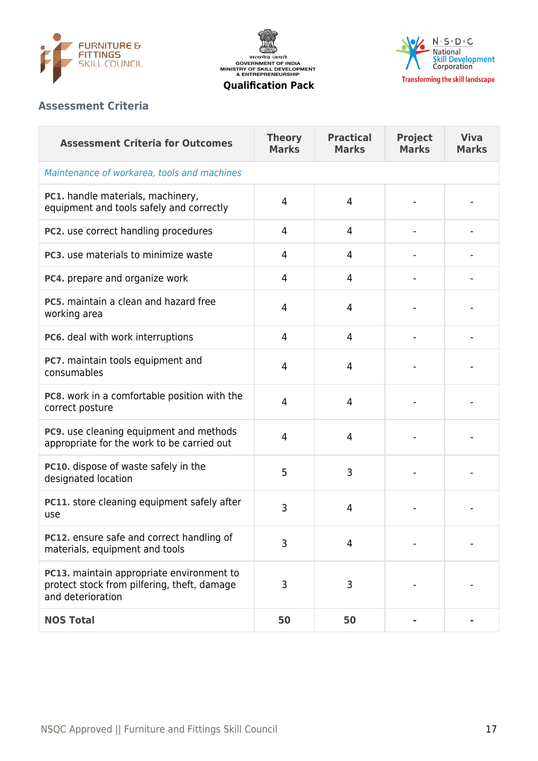





#### **Assessment Criteria**

| <b>Assessment Criteria for Outcomes</b>                                                                       | <b>Theory</b><br><b>Marks</b> | <b>Practical</b><br><b>Marks</b> | <b>Project</b><br><b>Marks</b> | <b>Viva</b><br><b>Marks</b> |  |  |  |
|---------------------------------------------------------------------------------------------------------------|-------------------------------|----------------------------------|--------------------------------|-----------------------------|--|--|--|
| Maintenance of workarea, tools and machines                                                                   |                               |                                  |                                |                             |  |  |  |
| PC1. handle materials, machinery,<br>equipment and tools safely and correctly                                 | 4                             | 4                                |                                |                             |  |  |  |
| PC2. use correct handling procedures                                                                          | 4                             | 4                                |                                |                             |  |  |  |
| PC3, use materials to minimize waste                                                                          | 4                             | 4                                |                                |                             |  |  |  |
| PC4. prepare and organize work                                                                                | 4                             | 4                                |                                |                             |  |  |  |
| PC5, maintain a clean and hazard free<br>working area                                                         | 4                             | 4                                |                                |                             |  |  |  |
| PC6. deal with work interruptions                                                                             | 4                             | 4                                |                                |                             |  |  |  |
| PC7. maintain tools equipment and<br>consumables                                                              | 4                             | 4                                |                                |                             |  |  |  |
| PC8. work in a comfortable position with the<br>correct posture                                               | 4                             | $\overline{4}$                   |                                |                             |  |  |  |
| PC9. use cleaning equipment and methods<br>appropriate for the work to be carried out                         | 4                             | 4                                |                                |                             |  |  |  |
| PC10. dispose of waste safely in the<br>designated location                                                   | 5                             | 3                                |                                |                             |  |  |  |
| PC11. store cleaning equipment safely after<br>use                                                            | 3                             | 4                                |                                |                             |  |  |  |
| PC12. ensure safe and correct handling of<br>materials, equipment and tools                                   | 3                             | $\overline{4}$                   |                                |                             |  |  |  |
| PC13. maintain appropriate environment to<br>protect stock from pilfering, theft, damage<br>and deterioration | 3                             | 3                                |                                |                             |  |  |  |
| <b>NOS Total</b>                                                                                              | 50                            | 50                               |                                |                             |  |  |  |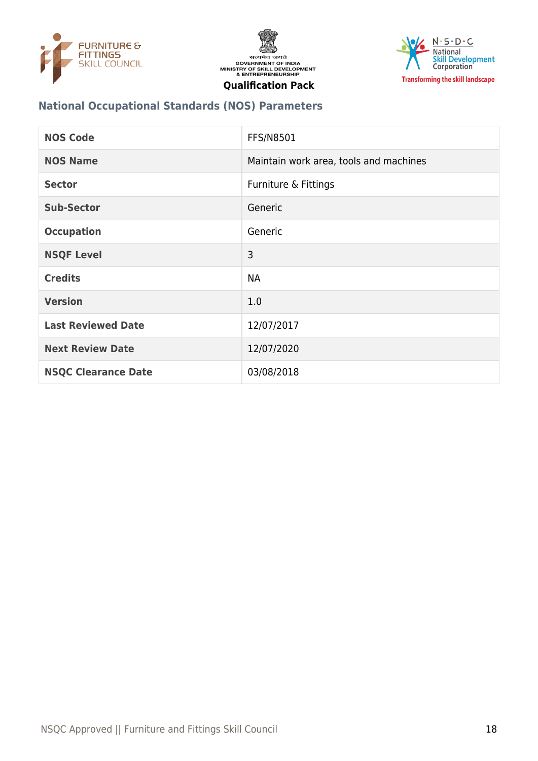





## **National Occupational Standards (NOS) Parameters**

| <b>NOS Code</b>            | <b>FFS/N8501</b>                       |
|----------------------------|----------------------------------------|
| <b>NOS Name</b>            | Maintain work area, tools and machines |
| <b>Sector</b>              | Furniture & Fittings                   |
| <b>Sub-Sector</b>          | Generic                                |
| <b>Occupation</b>          | Generic                                |
| <b>NSQF Level</b>          | 3                                      |
| <b>Credits</b>             | <b>NA</b>                              |
| <b>Version</b>             | 1.0                                    |
| <b>Last Reviewed Date</b>  | 12/07/2017                             |
| <b>Next Review Date</b>    | 12/07/2020                             |
| <b>NSQC Clearance Date</b> | 03/08/2018                             |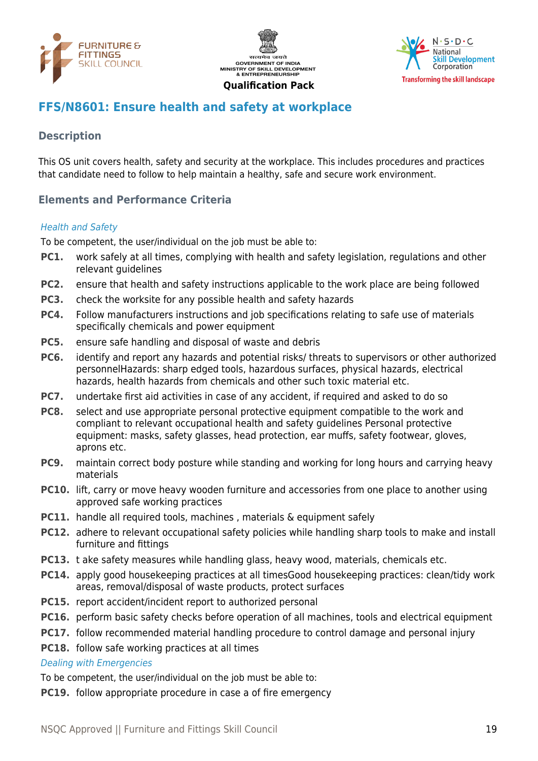





## <span id="page-18-0"></span>**FFS/N8601: Ensure health and safety at workplace**

#### **Description**

This OS unit covers health, safety and security at the workplace. This includes procedures and practices that candidate need to follow to help maintain a healthy, safe and secure work environment.

#### **Elements and Performance Criteria**

#### Health and Safety

To be competent, the user/individual on the job must be able to:

- **PC1.** work safely at all times, complying with health and safety legislation, regulations and other relevant guidelines
- **PC2.** ensure that health and safety instructions applicable to the work place are being followed
- **PC3.** check the worksite for any possible health and safety hazards
- **PC4.** Follow manufacturers instructions and job specifications relating to safe use of materials specifically chemicals and power equipment
- **PC5.** ensure safe handling and disposal of waste and debris
- **PC6.** identify and report any hazards and potential risks/ threats to supervisors or other authorized personnelHazards: sharp edged tools, hazardous surfaces, physical hazards, electrical hazards, health hazards from chemicals and other such toxic material etc.
- **PC7.** undertake first aid activities in case of any accident, if required and asked to do so
- **PC8.** select and use appropriate personal protective equipment compatible to the work and compliant to relevant occupational health and safety guidelines Personal protective equipment: masks, safety glasses, head protection, ear muffs, safety footwear, gloves, aprons etc.
- **PC9.** maintain correct body posture while standing and working for long hours and carrying heavy materials
- **PC10.** lift, carry or move heavy wooden furniture and accessories from one place to another using approved safe working practices
- **PC11.** handle all required tools, machines, materials & equipment safely
- **PC12.** adhere to relevant occupational safety policies while handling sharp tools to make and install furniture and fittings
- **PC13.** t ake safety measures while handling glass, heavy wood, materials, chemicals etc.
- **PC14.** apply good housekeeping practices at all timesGood housekeeping practices: clean/tidy work areas, removal/disposal of waste products, protect surfaces
- **PC15.** report accident/incident report to authorized personal
- **PC16.** perform basic safety checks before operation of all machines, tools and electrical equipment
- **PC17.** follow recommended material handling procedure to control damage and personal injury
- **PC18.** follow safe working practices at all times

#### Dealing with Emergencies

To be competent, the user/individual on the job must be able to:

**PC19.** follow appropriate procedure in case a of fire emergency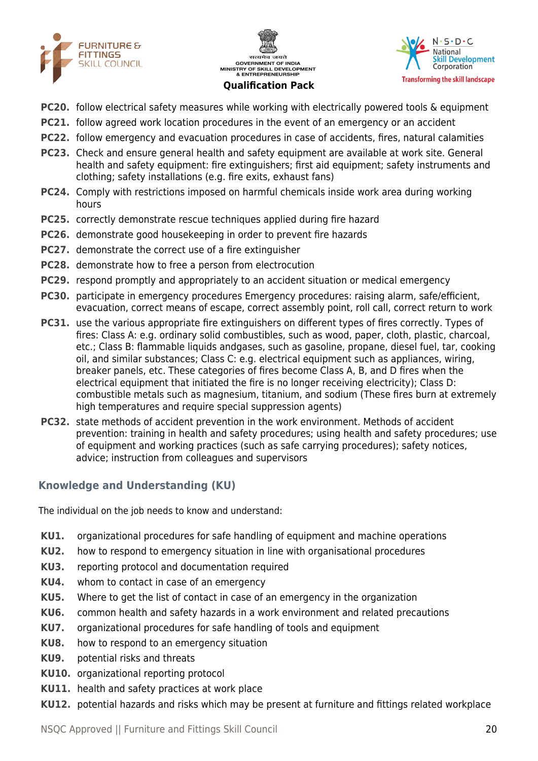





- **PC20.** follow electrical safety measures while working with electrically powered tools & equipment
- **PC21.** follow agreed work location procedures in the event of an emergency or an accident
- **PC22.** follow emergency and evacuation procedures in case of accidents, fires, natural calamities
- **PC23.** Check and ensure general health and safety equipment are available at work site. General health and safety equipment: fire extinguishers; first aid equipment; safety instruments and clothing; safety installations (e.g. fire exits, exhaust fans)
- **PC24.** Comply with restrictions imposed on harmful chemicals inside work area during working hours
- **PC25.** correctly demonstrate rescue techniques applied during fire hazard
- **PC26.** demonstrate good housekeeping in order to prevent fire hazards
- **PC27.** demonstrate the correct use of a fire extinguisher
- **PC28.** demonstrate how to free a person from electrocution
- **PC29.** respond promptly and appropriately to an accident situation or medical emergency
- **PC30.** participate in emergency procedures Emergency procedures: raising alarm, safe/efficient, evacuation, correct means of escape, correct assembly point, roll call, correct return to work
- **PC31.** use the various appropriate fire extinguishers on different types of fires correctly. Types of fires: Class A: e.g. ordinary solid combustibles, such as wood, paper, cloth, plastic, charcoal, etc.; Class B: flammable liquids andgases, such as gasoline, propane, diesel fuel, tar, cooking oil, and similar substances; Class C: e.g. electrical equipment such as appliances, wiring, breaker panels, etc. These categories of fires become Class A, B, and D fires when the electrical equipment that initiated the fire is no longer receiving electricity); Class D: combustible metals such as magnesium, titanium, and sodium (These fires burn at extremely high temperatures and require special suppression agents)
- **PC32.** state methods of accident prevention in the work environment. Methods of accident prevention: training in health and safety procedures; using health and safety procedures; use of equipment and working practices (such as safe carrying procedures); safety notices, advice; instruction from colleagues and supervisors

## **Knowledge and Understanding (KU)**

The individual on the job needs to know and understand:

- **KU1.** organizational procedures for safe handling of equipment and machine operations
- **KU2.** how to respond to emergency situation in line with organisational procedures
- **KU3.** reporting protocol and documentation required
- **KU4.** whom to contact in case of an emergency
- **KU5.** Where to get the list of contact in case of an emergency in the organization
- **KU6.** common health and safety hazards in a work environment and related precautions
- **KU7.** organizational procedures for safe handling of tools and equipment
- **KU8.** how to respond to an emergency situation
- **KU9.** potential risks and threats
- **KU10.** organizational reporting protocol
- **KU11.** health and safety practices at work place
- **KU12.** potential hazards and risks which may be present at furniture and fittings related workplace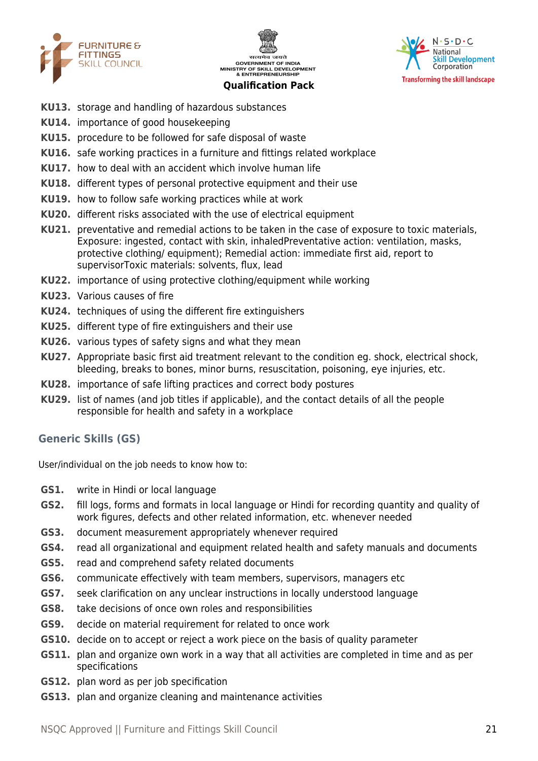





- **KU13.** storage and handling of hazardous substances
- **KU14.** importance of good housekeeping
- **KU15.** procedure to be followed for safe disposal of waste
- **KU16.** safe working practices in a furniture and fittings related workplace
- **KU17.** how to deal with an accident which involve human life
- **KU18.** different types of personal protective equipment and their use
- **KU19.** how to follow safe working practices while at work
- **KU20.** different risks associated with the use of electrical equipment
- **KU21.** preventative and remedial actions to be taken in the case of exposure to toxic materials, Exposure: ingested, contact with skin, inhaledPreventative action: ventilation, masks, protective clothing/ equipment); Remedial action: immediate first aid, report to supervisorToxic materials: solvents, flux, lead
- **KU22.** importance of using protective clothing/equipment while working
- **KU23.** Various causes of fire
- **KU24.** techniques of using the different fire extinguishers
- **KU25.** different type of fire extinguishers and their use
- **KU26.** various types of safety signs and what they mean
- **KU27.** Appropriate basic first aid treatment relevant to the condition eg. shock, electrical shock, bleeding, breaks to bones, minor burns, resuscitation, poisoning, eye injuries, etc.
- **KU28.** importance of safe lifting practices and correct body postures
- **KU29.** list of names (and job titles if applicable), and the contact details of all the people responsible for health and safety in a workplace

#### **Generic Skills (GS)**

User/individual on the job needs to know how to:

- **GS1.** write in Hindi or local language
- **GS2.** fill logs, forms and formats in local language or Hindi for recording quantity and quality of work figures, defects and other related information, etc. whenever needed
- **GS3.** document measurement appropriately whenever required
- **GS4.** read all organizational and equipment related health and safety manuals and documents
- **GS5.** read and comprehend safety related documents
- **GS6.** communicate effectively with team members, supervisors, managers etc
- **GS7.** seek clarification on any unclear instructions in locally understood language
- **GS8.** take decisions of once own roles and responsibilities
- **GS9.** decide on material requirement for related to once work
- **GS10.** decide on to accept or reject a work piece on the basis of quality parameter
- **GS11.** plan and organize own work in a way that all activities are completed in time and as per specifications
- **GS12.** plan word as per job specification
- **GS13.** plan and organize cleaning and maintenance activities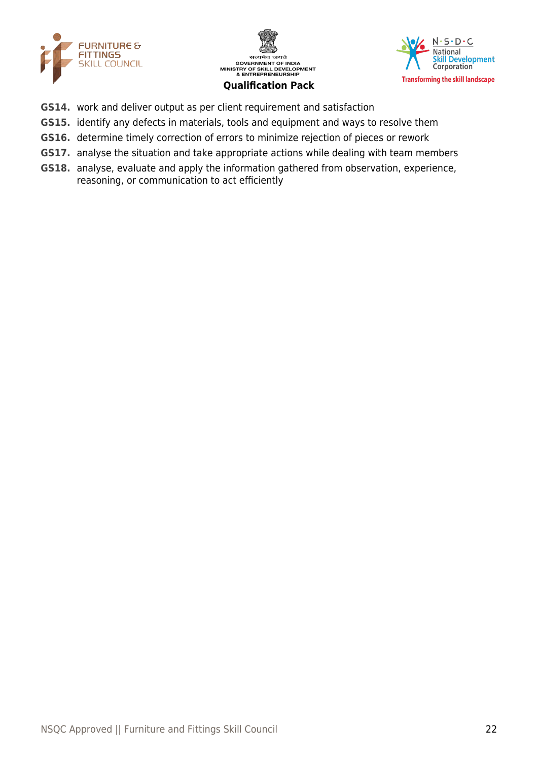





- **GS14.** work and deliver output as per client requirement and satisfaction
- **GS15.** identify any defects in materials, tools and equipment and ways to resolve them
- **GS16.** determine timely correction of errors to minimize rejection of pieces or rework
- **GS17.** analyse the situation and take appropriate actions while dealing with team members
- **GS18.** analyse, evaluate and apply the information gathered from observation, experience, reasoning, or communication to act efficiently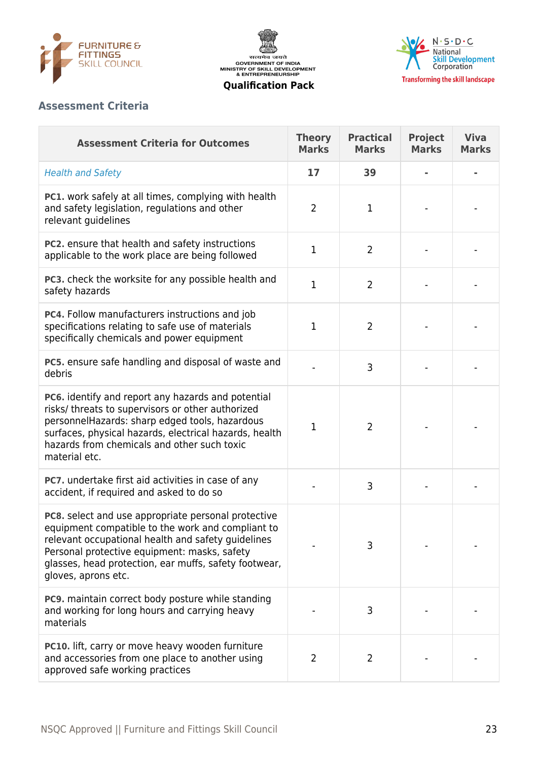





## **Assessment Criteria**

| <b>Assessment Criteria for Outcomes</b>                                                                                                                                                                                                                                                        | <b>Theory</b><br><b>Marks</b> | <b>Practical</b><br><b>Marks</b> | <b>Project</b><br><b>Marks</b> | <b>Viva</b><br><b>Marks</b> |
|------------------------------------------------------------------------------------------------------------------------------------------------------------------------------------------------------------------------------------------------------------------------------------------------|-------------------------------|----------------------------------|--------------------------------|-----------------------------|
| <b>Health and Safety</b>                                                                                                                                                                                                                                                                       | 17                            | 39                               |                                |                             |
| <b>PC1.</b> work safely at all times, complying with health<br>and safety legislation, regulations and other<br>relevant guidelines                                                                                                                                                            | $\overline{2}$                | 1                                |                                |                             |
| PC2. ensure that health and safety instructions<br>applicable to the work place are being followed                                                                                                                                                                                             | $\mathbf 1$                   | $\overline{2}$                   |                                |                             |
| PC3. check the worksite for any possible health and<br>safety hazards                                                                                                                                                                                                                          | $\mathbf{1}$                  | $\overline{2}$                   |                                |                             |
| PC4. Follow manufacturers instructions and job<br>specifications relating to safe use of materials<br>specifically chemicals and power equipment                                                                                                                                               | $\mathbf{1}$                  | $\overline{2}$                   |                                |                             |
| PC5. ensure safe handling and disposal of waste and<br>debris                                                                                                                                                                                                                                  |                               | 3                                |                                |                             |
| PC6. identify and report any hazards and potential<br>risks/ threats to supervisors or other authorized<br>personnelHazards: sharp edged tools, hazardous<br>surfaces, physical hazards, electrical hazards, health<br>hazards from chemicals and other such toxic<br>material etc.            | $\mathbf 1$                   | $\overline{2}$                   |                                |                             |
| PC7. undertake first aid activities in case of any<br>accident, if required and asked to do so                                                                                                                                                                                                 |                               | 3                                |                                |                             |
| PC8. select and use appropriate personal protective<br>equipment compatible to the work and compliant to<br>relevant occupational health and safety quidelines<br>Personal protective equipment: masks, safety<br>glasses, head protection, ear muffs, safety footwear,<br>gloves, aprons etc. |                               | 3                                |                                |                             |
| PC9. maintain correct body posture while standing<br>and working for long hours and carrying heavy<br>materials                                                                                                                                                                                |                               | 3                                |                                |                             |
| PC10. lift, carry or move heavy wooden furniture<br>and accessories from one place to another using<br>approved safe working practices                                                                                                                                                         | 2                             | 2                                |                                |                             |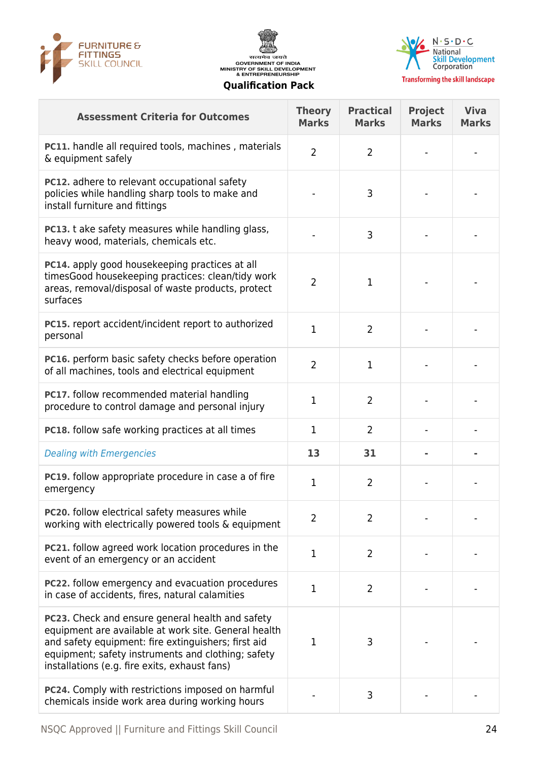





| <b>Assessment Criteria for Outcomes</b>                                                                                                                                                                                                                                       | <b>Theory</b><br><b>Marks</b> | <b>Practical</b><br><b>Marks</b> | <b>Project</b><br><b>Marks</b> | <b>Viva</b><br><b>Marks</b> |
|-------------------------------------------------------------------------------------------------------------------------------------------------------------------------------------------------------------------------------------------------------------------------------|-------------------------------|----------------------------------|--------------------------------|-----------------------------|
| PC11. handle all required tools, machines, materials<br>& equipment safely                                                                                                                                                                                                    | $\overline{2}$                | $\overline{2}$                   |                                |                             |
| PC12. adhere to relevant occupational safety<br>policies while handling sharp tools to make and<br>install furniture and fittings                                                                                                                                             |                               | 3                                |                                |                             |
| <b>PC13.</b> t ake safety measures while handling glass,<br>heavy wood, materials, chemicals etc.                                                                                                                                                                             |                               | 3                                |                                |                             |
| PC14. apply good housekeeping practices at all<br>timesGood housekeeping practices: clean/tidy work<br>areas, removal/disposal of waste products, protect<br>surfaces                                                                                                         | $\overline{2}$                | $\mathbf{1}$                     |                                |                             |
| PC15. report accident/incident report to authorized<br>personal                                                                                                                                                                                                               | $\mathbf 1$                   | $\overline{2}$                   |                                |                             |
| PC16. perform basic safety checks before operation<br>of all machines, tools and electrical equipment                                                                                                                                                                         | $\overline{2}$                | 1                                |                                |                             |
| PC17. follow recommended material handling<br>procedure to control damage and personal injury                                                                                                                                                                                 | $\mathbf 1$                   | $\overline{2}$                   |                                |                             |
| <b>PC18.</b> follow safe working practices at all times                                                                                                                                                                                                                       | 1                             | $\overline{2}$                   |                                |                             |
| <b>Dealing with Emergencies</b>                                                                                                                                                                                                                                               | 13                            | 31                               |                                |                             |
| PC19. follow appropriate procedure in case a of fire<br>emergency                                                                                                                                                                                                             | 1                             | $\overline{2}$                   |                                |                             |
| PC20. follow electrical safety measures while<br>working with electrically powered tools & equipment                                                                                                                                                                          | $\overline{2}$                | $\overline{2}$                   |                                |                             |
| <b>PC21.</b> follow agreed work location procedures in the<br>event of an emergency or an accident                                                                                                                                                                            | $\mathbf{1}$                  | $\overline{2}$                   |                                |                             |
| <b>PC22.</b> follow emergency and evacuation procedures<br>in case of accidents, fires, natural calamities                                                                                                                                                                    | $\mathbf 1$                   | $\overline{2}$                   |                                |                             |
| <b>PC23.</b> Check and ensure general health and safety<br>equipment are available at work site. General health<br>and safety equipment: fire extinguishers; first aid<br>equipment; safety instruments and clothing; safety<br>installations (e.g. fire exits, exhaust fans) | 1                             | 3                                |                                |                             |
| PC24. Comply with restrictions imposed on harmful<br>chemicals inside work area during working hours                                                                                                                                                                          |                               | 3                                |                                |                             |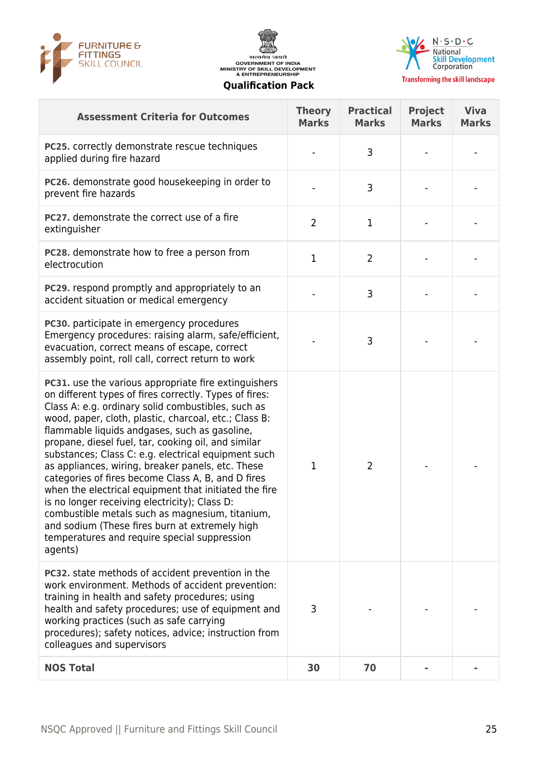





| <b>Assessment Criteria for Outcomes</b>                                                                                                                                                                                                                                                                                                                                                                                                                                                                                                                                                                                                                                                                                                                                                  | <b>Theory</b><br><b>Marks</b> | <b>Practical</b><br><b>Marks</b> | <b>Project</b><br><b>Marks</b> | <b>Viva</b><br><b>Marks</b> |
|------------------------------------------------------------------------------------------------------------------------------------------------------------------------------------------------------------------------------------------------------------------------------------------------------------------------------------------------------------------------------------------------------------------------------------------------------------------------------------------------------------------------------------------------------------------------------------------------------------------------------------------------------------------------------------------------------------------------------------------------------------------------------------------|-------------------------------|----------------------------------|--------------------------------|-----------------------------|
| PC25. correctly demonstrate rescue techniques<br>applied during fire hazard                                                                                                                                                                                                                                                                                                                                                                                                                                                                                                                                                                                                                                                                                                              |                               | 3                                |                                |                             |
| PC26. demonstrate good housekeeping in order to<br>prevent fire hazards                                                                                                                                                                                                                                                                                                                                                                                                                                                                                                                                                                                                                                                                                                                  |                               | 3                                |                                |                             |
| <b>PC27.</b> demonstrate the correct use of a fire<br>extinguisher                                                                                                                                                                                                                                                                                                                                                                                                                                                                                                                                                                                                                                                                                                                       | $\overline{2}$                | $\mathbf 1$                      |                                |                             |
| PC28. demonstrate how to free a person from<br>electrocution                                                                                                                                                                                                                                                                                                                                                                                                                                                                                                                                                                                                                                                                                                                             | $\mathbf{1}$                  | $\overline{2}$                   |                                |                             |
| PC29. respond promptly and appropriately to an<br>accident situation or medical emergency                                                                                                                                                                                                                                                                                                                                                                                                                                                                                                                                                                                                                                                                                                |                               | 3                                |                                |                             |
| PC30. participate in emergency procedures<br>Emergency procedures: raising alarm, safe/efficient,<br>evacuation, correct means of escape, correct<br>assembly point, roll call, correct return to work                                                                                                                                                                                                                                                                                                                                                                                                                                                                                                                                                                                   |                               | 3                                |                                |                             |
| <b>PC31.</b> use the various appropriate fire extinguishers<br>on different types of fires correctly. Types of fires:<br>Class A: e.g. ordinary solid combustibles, such as<br>wood, paper, cloth, plastic, charcoal, etc.; Class B:<br>flammable liquids andgases, such as gasoline,<br>propane, diesel fuel, tar, cooking oil, and similar<br>substances; Class C: e.g. electrical equipment such<br>as appliances, wiring, breaker panels, etc. These<br>categories of fires become Class A, B, and D fires<br>when the electrical equipment that initiated the fire<br>is no longer receiving electricity); Class D:<br>combustible metals such as magnesium, titanium,<br>and sodium (These fires burn at extremely high<br>temperatures and require special suppression<br>agents) | $\mathbf 1$                   | $\overline{2}$                   |                                |                             |
| <b>PC32.</b> state methods of accident prevention in the<br>work environment. Methods of accident prevention:<br>training in health and safety procedures; using<br>health and safety procedures; use of equipment and<br>working practices (such as safe carrying<br>procedures); safety notices, advice; instruction from<br>colleagues and supervisors                                                                                                                                                                                                                                                                                                                                                                                                                                | 3                             |                                  |                                |                             |
| <b>NOS Total</b>                                                                                                                                                                                                                                                                                                                                                                                                                                                                                                                                                                                                                                                                                                                                                                         | 30                            | 70                               |                                |                             |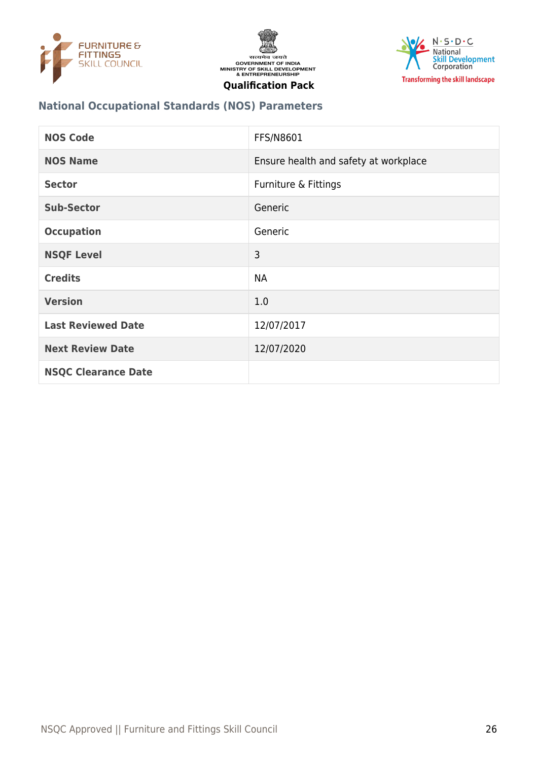





## **National Occupational Standards (NOS) Parameters**

| <b>NOS Code</b>            | FFS/N8601                             |
|----------------------------|---------------------------------------|
| <b>NOS Name</b>            | Ensure health and safety at workplace |
| <b>Sector</b>              | Furniture & Fittings                  |
| <b>Sub-Sector</b>          | Generic                               |
| <b>Occupation</b>          | Generic                               |
| <b>NSQF Level</b>          | 3                                     |
| <b>Credits</b>             | <b>NA</b>                             |
| <b>Version</b>             | 1.0                                   |
| <b>Last Reviewed Date</b>  | 12/07/2017                            |
| <b>Next Review Date</b>    | 12/07/2020                            |
| <b>NSQC Clearance Date</b> |                                       |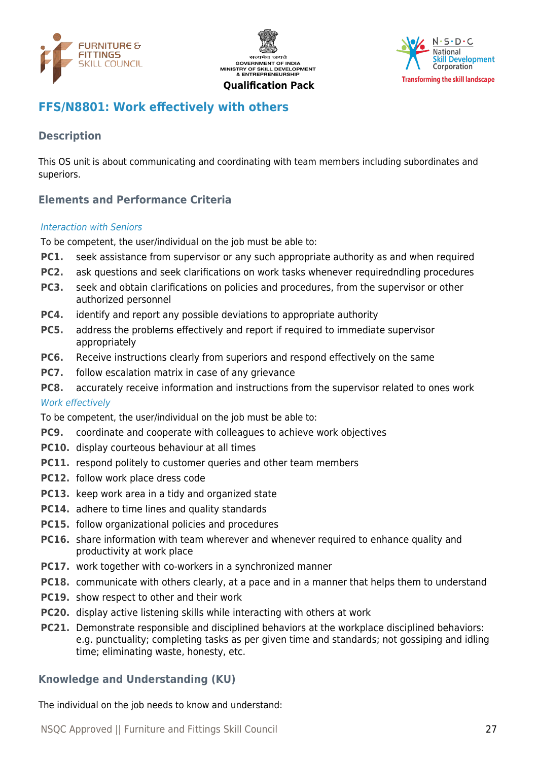





## <span id="page-26-0"></span>**FFS/N8801: Work effectively with others**

## **Description**

This OS unit is about communicating and coordinating with team members including subordinates and superiors.

## **Elements and Performance Criteria**

#### Interaction with Seniors

To be competent, the user/individual on the job must be able to:

- **PC1.** seek assistance from supervisor or any such appropriate authority as and when required
- **PC2.** ask questions and seek clarifications on work tasks whenever requiredndling procedures
- **PC3.** seek and obtain clarifications on policies and procedures, from the supervisor or other authorized personnel
- **PC4.** identify and report any possible deviations to appropriate authority
- **PC5.** address the problems effectively and report if required to immediate supervisor appropriately
- **PC6.** Receive instructions clearly from superiors and respond effectively on the same
- **PC7.** follow escalation matrix in case of any grievance
- **PC8.** accurately receive information and instructions from the supervisor related to ones work

#### Work effectively

To be competent, the user/individual on the job must be able to:

- **PC9.** coordinate and cooperate with colleagues to achieve work objectives
- **PC10.** display courteous behaviour at all times
- **PC11.** respond politely to customer queries and other team members
- **PC12.** follow work place dress code
- **PC13.** keep work area in a tidy and organized state
- **PC14.** adhere to time lines and quality standards
- **PC15.** follow organizational policies and procedures
- **PC16.** share information with team wherever and whenever required to enhance quality and productivity at work place
- **PC17.** work together with co-workers in a synchronized manner
- **PC18.** communicate with others clearly, at a pace and in a manner that helps them to understand
- **PC19.** show respect to other and their work
- **PC20.** display active listening skills while interacting with others at work
- **PC21.** Demonstrate responsible and disciplined behaviors at the workplace disciplined behaviors: e.g. punctuality; completing tasks as per given time and standards; not gossiping and idling time; eliminating waste, honesty, etc.

#### **Knowledge and Understanding (KU)**

The individual on the job needs to know and understand: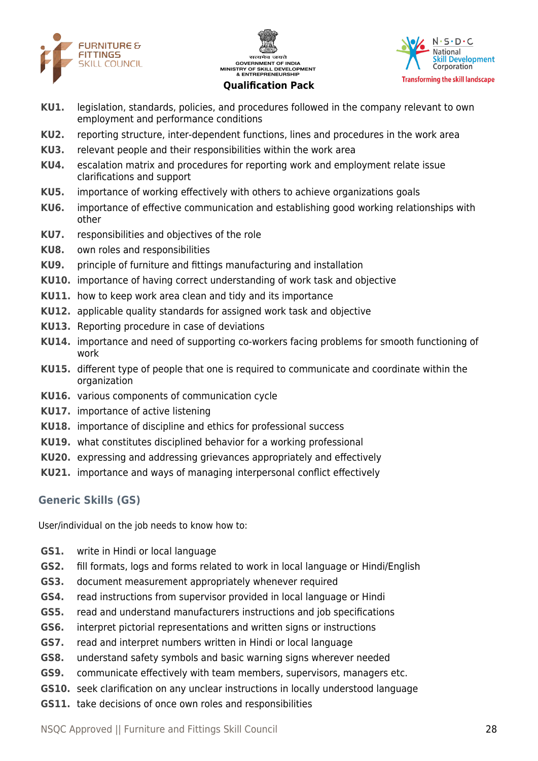





- **KU1.** legislation, standards, policies, and procedures followed in the company relevant to own employment and performance conditions
- **KU2.** reporting structure, inter-dependent functions, lines and procedures in the work area
- **KU3.** relevant people and their responsibilities within the work area
- **KU4.** escalation matrix and procedures for reporting work and employment relate issue clarifications and support
- **KU5.** importance of working effectively with others to achieve organizations goals
- **KU6.** importance of effective communication and establishing good working relationships with other
- **KU7.** responsibilities and objectives of the role
- **KU8.** own roles and responsibilities
- **KU9.** principle of furniture and fittings manufacturing and installation
- **KU10.** importance of having correct understanding of work task and objective
- **KU11.** how to keep work area clean and tidy and its importance
- **KU12.** applicable quality standards for assigned work task and objective
- **KU13.** Reporting procedure in case of deviations
- **KU14.** importance and need of supporting co-workers facing problems for smooth functioning of work
- **KU15.** different type of people that one is required to communicate and coordinate within the organization
- **KU16.** various components of communication cycle
- **KU17.** importance of active listening
- **KU18.** importance of discipline and ethics for professional success
- **KU19.** what constitutes disciplined behavior for a working professional
- **KU20.** expressing and addressing grievances appropriately and effectively
- **KU21.** importance and ways of managing interpersonal conflict effectively

## **Generic Skills (GS)**

User/individual on the job needs to know how to:

- **GS1.** write in Hindi or local language
- **GS2.** fill formats, logs and forms related to work in local language or Hindi/English
- **GS3.** document measurement appropriately whenever required
- **GS4.** read instructions from supervisor provided in local language or Hindi
- **GS5.** read and understand manufacturers instructions and job specifications
- **GS6.** interpret pictorial representations and written signs or instructions
- **GS7.** read and interpret numbers written in Hindi or local language
- **GS8.** understand safety symbols and basic warning signs wherever needed
- **GS9.** communicate effectively with team members, supervisors, managers etc.
- **GS10.** seek clarification on any unclear instructions in locally understood language
- **GS11.** take decisions of once own roles and responsibilities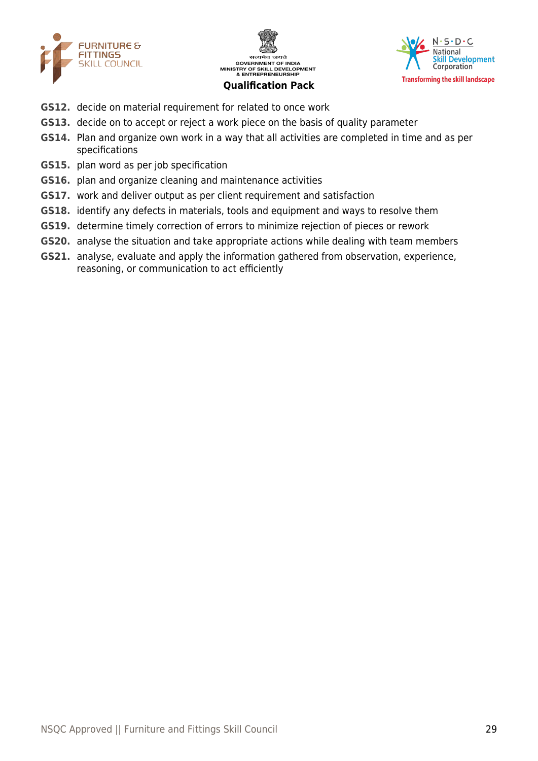





- **GS12.** decide on material requirement for related to once work
- **GS13.** decide on to accept or reject a work piece on the basis of quality parameter
- **GS14.** Plan and organize own work in a way that all activities are completed in time and as per specifications
- **GS15.** plan word as per job specification
- **GS16.** plan and organize cleaning and maintenance activities
- **GS17.** work and deliver output as per client requirement and satisfaction
- **GS18.** identify any defects in materials, tools and equipment and ways to resolve them
- **GS19.** determine timely correction of errors to minimize rejection of pieces or rework
- **GS20.** analyse the situation and take appropriate actions while dealing with team members
- **GS21.** analyse, evaluate and apply the information gathered from observation, experience, reasoning, or communication to act efficiently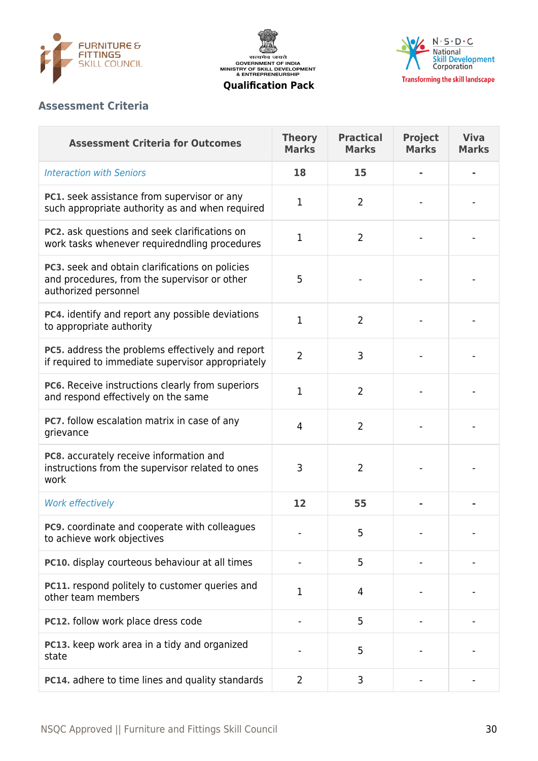

सत्यमेव जयते<br>GOVERNMENT OF INDIA<br>MINISTRY OF SKILL DEVELOPMENT<br>& ENTREPRENEURSHIP



**Qualification Pack**

## **Assessment Criteria**

| <b>Assessment Criteria for Outcomes</b>                                                                                 | <b>Theory</b><br><b>Marks</b> | <b>Practical</b><br><b>Marks</b> | <b>Project</b><br><b>Marks</b> | <b>Viva</b><br><b>Marks</b> |
|-------------------------------------------------------------------------------------------------------------------------|-------------------------------|----------------------------------|--------------------------------|-----------------------------|
| <b>Interaction with Seniors</b>                                                                                         | 18                            | 15                               |                                |                             |
| PC1. seek assistance from supervisor or any<br>such appropriate authority as and when required                          | 1                             | 2                                |                                |                             |
| PC2. ask questions and seek clarifications on<br>work tasks whenever requiredndling procedures                          | 1                             | $\overline{2}$                   |                                |                             |
| PC3. seek and obtain clarifications on policies<br>and procedures, from the supervisor or other<br>authorized personnel | 5                             |                                  |                                |                             |
| PC4. identify and report any possible deviations<br>to appropriate authority                                            | 1                             | 2                                |                                |                             |
| PC5. address the problems effectively and report<br>if required to immediate supervisor appropriately                   | $\overline{2}$                | 3                                |                                |                             |
| PC6. Receive instructions clearly from superiors<br>and respond effectively on the same                                 | 1                             | $\overline{2}$                   |                                |                             |
| PC7. follow escalation matrix in case of any<br>grievance                                                               | $\overline{4}$                | $\overline{2}$                   |                                |                             |
| PC8. accurately receive information and<br>instructions from the supervisor related to ones<br>work                     | 3                             | $\overline{2}$                   |                                |                             |
| <b>Work effectively</b>                                                                                                 | 12                            | 55                               |                                |                             |
| <b>PC9.</b> coordinate and cooperate with colleagues<br>to achieve work objectives                                      |                               | 5                                |                                |                             |
| PC10. display courteous behaviour at all times                                                                          |                               | 5                                |                                |                             |
| PC11. respond politely to customer queries and<br>other team members                                                    | 1                             | 4                                |                                |                             |
| PC12. follow work place dress code                                                                                      |                               | 5                                |                                |                             |
| PC13. keep work area in a tidy and organized<br>state                                                                   |                               | 5                                |                                |                             |
| PC14. adhere to time lines and quality standards                                                                        | $\overline{2}$                | 3                                |                                |                             |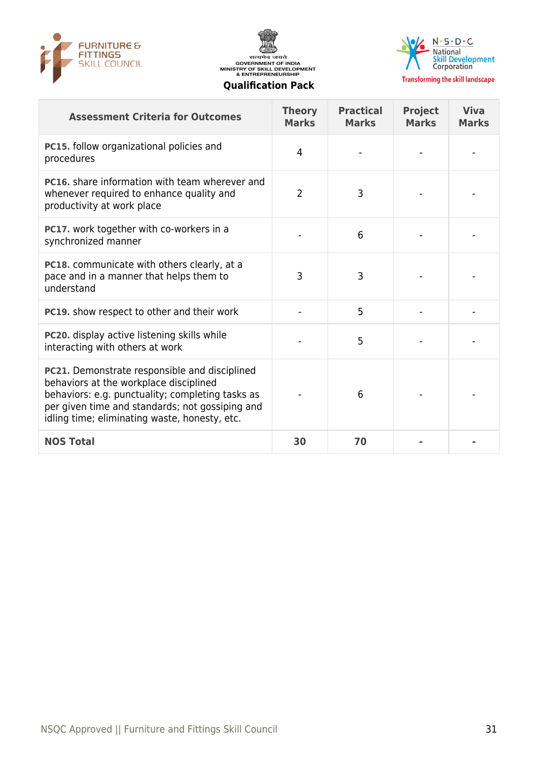





**Transforming the skill landscape** 

| <b>Assessment Criteria for Outcomes</b>                                                                                                                                                                                                         | <b>Theory</b><br><b>Marks</b> | <b>Practical</b><br><b>Marks</b> | <b>Project</b><br><b>Marks</b> | <b>Viva</b><br><b>Marks</b> |
|-------------------------------------------------------------------------------------------------------------------------------------------------------------------------------------------------------------------------------------------------|-------------------------------|----------------------------------|--------------------------------|-----------------------------|
| PC15. follow organizational policies and<br>procedures                                                                                                                                                                                          | 4                             |                                  |                                |                             |
| <b>PC16.</b> share information with team wherever and<br>whenever required to enhance quality and<br>productivity at work place                                                                                                                 | $\overline{2}$                | 3                                |                                |                             |
| PC17. work together with co-workers in a<br>synchronized manner                                                                                                                                                                                 |                               | 6                                |                                |                             |
| <b>PC18.</b> communicate with others clearly, at a<br>pace and in a manner that helps them to<br>understand                                                                                                                                     | 3                             | 3                                |                                |                             |
| <b>PC19.</b> show respect to other and their work                                                                                                                                                                                               |                               | 5                                |                                |                             |
| PC20. display active listening skills while<br>interacting with others at work                                                                                                                                                                  |                               | 5                                |                                |                             |
| PC21. Demonstrate responsible and disciplined<br>behaviors at the workplace disciplined<br>behaviors: e.g. punctuality; completing tasks as<br>per given time and standards; not gossiping and<br>idling time; eliminating waste, honesty, etc. |                               | 6                                |                                |                             |
| <b>NOS Total</b>                                                                                                                                                                                                                                | 30                            | 70                               |                                |                             |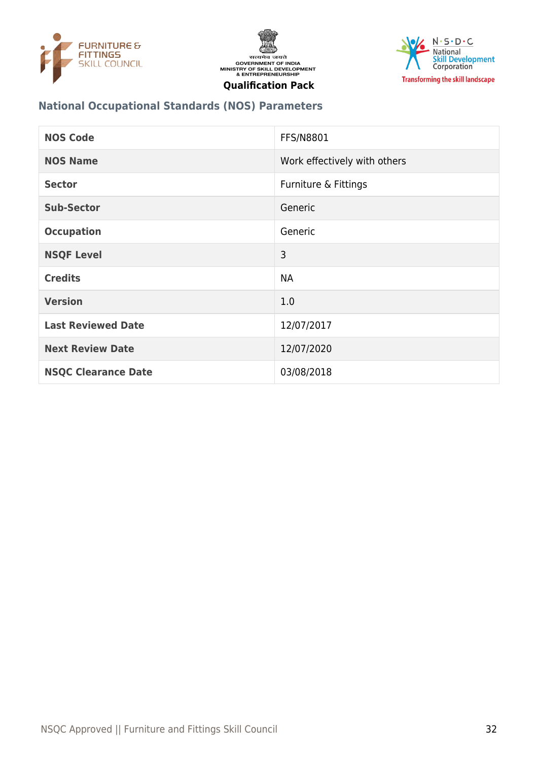





## **National Occupational Standards (NOS) Parameters**

| <b>NOS Code</b>            | FFS/N8801                    |
|----------------------------|------------------------------|
| <b>NOS Name</b>            | Work effectively with others |
| <b>Sector</b>              | Furniture & Fittings         |
| <b>Sub-Sector</b>          | Generic                      |
| <b>Occupation</b>          | Generic                      |
| <b>NSQF Level</b>          | 3                            |
| <b>Credits</b>             | <b>NA</b>                    |
| <b>Version</b>             | 1.0                          |
| <b>Last Reviewed Date</b>  | 12/07/2017                   |
| <b>Next Review Date</b>    | 12/07/2020                   |
| <b>NSQC Clearance Date</b> | 03/08/2018                   |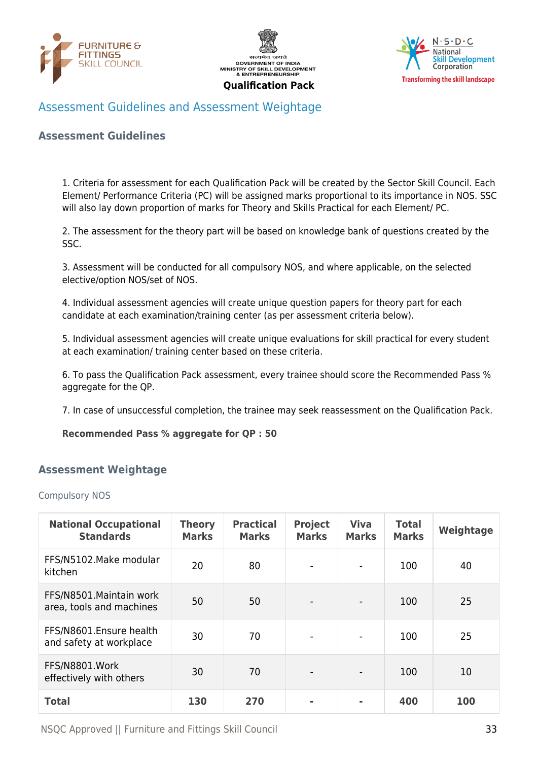





## <span id="page-32-0"></span>Assessment Guidelines and Assessment Weightage

#### **Assessment Guidelines**

1. Criteria for assessment for each Qualification Pack will be created by the Sector Skill Council. Each Element/ Performance Criteria (PC) will be assigned marks proportional to its importance in NOS. SSC will also lay down proportion of marks for Theory and Skills Practical for each Element/ PC.

2. The assessment for the theory part will be based on knowledge bank of questions created by the SSC.

3. Assessment will be conducted for all compulsory NOS, and where applicable, on the selected elective/option NOS/set of NOS.

4. Individual assessment agencies will create unique question papers for theory part for each candidate at each examination/training center (as per assessment criteria below).

5. Individual assessment agencies will create unique evaluations for skill practical for every student at each examination/ training center based on these criteria.

6. To pass the Qualification Pack assessment, every trainee should score the Recommended Pass % aggregate for the QP.

7. In case of unsuccessful completion, the trainee may seek reassessment on the Qualification Pack.

#### **Recommended Pass % aggregate for QP : 50**

#### <span id="page-32-1"></span>**Assessment Weightage**

Compulsory NOS

| <b>National Occupational</b><br><b>Standards</b>     | <b>Theory</b><br><b>Marks</b> | <b>Practical</b><br><b>Marks</b> | <b>Project</b><br><b>Marks</b> | <b>Viva</b><br><b>Marks</b> | <b>Total</b><br><b>Marks</b> | Weightage |
|------------------------------------------------------|-------------------------------|----------------------------------|--------------------------------|-----------------------------|------------------------------|-----------|
| FFS/N5102.Make modular<br>kitchen                    | 20                            | 80                               |                                | $\blacksquare$              | 100                          | 40        |
| FFS/N8501. Maintain work<br>area, tools and machines | 50                            | 50                               |                                |                             | 100                          | 25        |
| FFS/N8601.Ensure health<br>and safety at workplace   | 30                            | 70                               |                                |                             | 100                          | 25        |
| FFS/N8801.Work<br>effectively with others            | 30                            | 70                               |                                |                             | 100                          | 10        |
| <b>Total</b>                                         | 130                           | 270                              |                                | ۰                           | 400                          | 100       |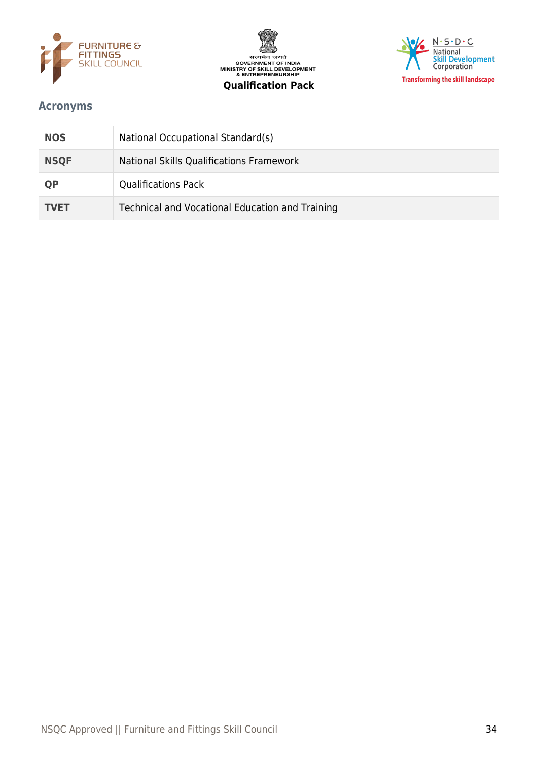





## <span id="page-33-0"></span>**Acronyms**

| <b>NOS</b>  | National Occupational Standard(s)               |
|-------------|-------------------------------------------------|
| <b>NSQF</b> | National Skills Qualifications Framework        |
| <b>QP</b>   | <b>Qualifications Pack</b>                      |
| <b>TVET</b> | Technical and Vocational Education and Training |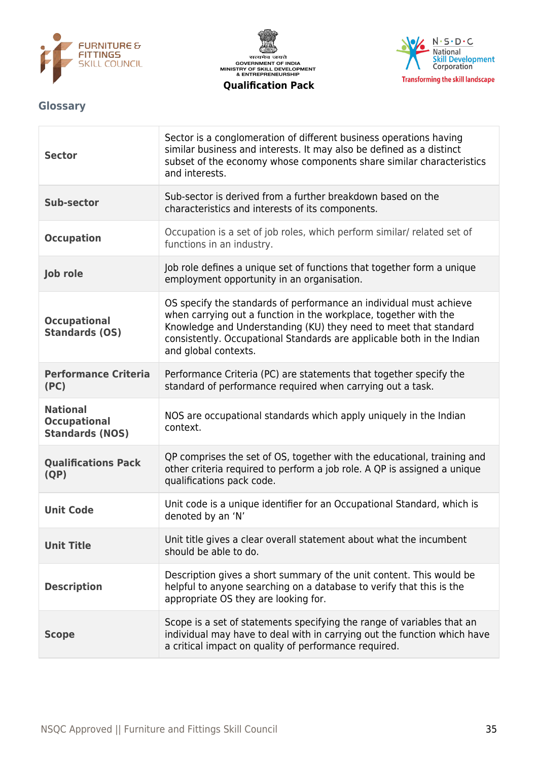





## <span id="page-34-0"></span>**Glossary**

| <b>Sector</b>                                                    | Sector is a conglomeration of different business operations having<br>similar business and interests. It may also be defined as a distinct<br>subset of the economy whose components share similar characteristics<br>and interests.                                                                         |
|------------------------------------------------------------------|--------------------------------------------------------------------------------------------------------------------------------------------------------------------------------------------------------------------------------------------------------------------------------------------------------------|
| Sub-sector                                                       | Sub-sector is derived from a further breakdown based on the<br>characteristics and interests of its components.                                                                                                                                                                                              |
| <b>Occupation</b>                                                | Occupation is a set of job roles, which perform similar/ related set of<br>functions in an industry.                                                                                                                                                                                                         |
| Job role                                                         | Job role defines a unique set of functions that together form a unique<br>employment opportunity in an organisation.                                                                                                                                                                                         |
| <b>Occupational</b><br><b>Standards (OS)</b>                     | OS specify the standards of performance an individual must achieve<br>when carrying out a function in the workplace, together with the<br>Knowledge and Understanding (KU) they need to meet that standard<br>consistently. Occupational Standards are applicable both in the Indian<br>and global contexts. |
| <b>Performance Criteria</b><br>(PC)                              | Performance Criteria (PC) are statements that together specify the<br>standard of performance required when carrying out a task.                                                                                                                                                                             |
| <b>National</b><br><b>Occupational</b><br><b>Standards (NOS)</b> | NOS are occupational standards which apply uniquely in the Indian<br>context.                                                                                                                                                                                                                                |
| <b>Qualifications Pack</b><br>(QP)                               | QP comprises the set of OS, together with the educational, training and<br>other criteria required to perform a job role. A QP is assigned a unique<br>qualifications pack code.                                                                                                                             |
| <b>Unit Code</b>                                                 | Unit code is a unique identifier for an Occupational Standard, which is<br>denoted by an 'N'                                                                                                                                                                                                                 |
| <b>Unit Title</b>                                                | Unit title gives a clear overall statement about what the incumbent<br>should be able to do.                                                                                                                                                                                                                 |
| <b>Description</b>                                               | Description gives a short summary of the unit content. This would be<br>helpful to anyone searching on a database to verify that this is the<br>appropriate OS they are looking for.                                                                                                                         |
| <b>Scope</b>                                                     | Scope is a set of statements specifying the range of variables that an<br>individual may have to deal with in carrying out the function which have<br>a critical impact on quality of performance required.                                                                                                  |